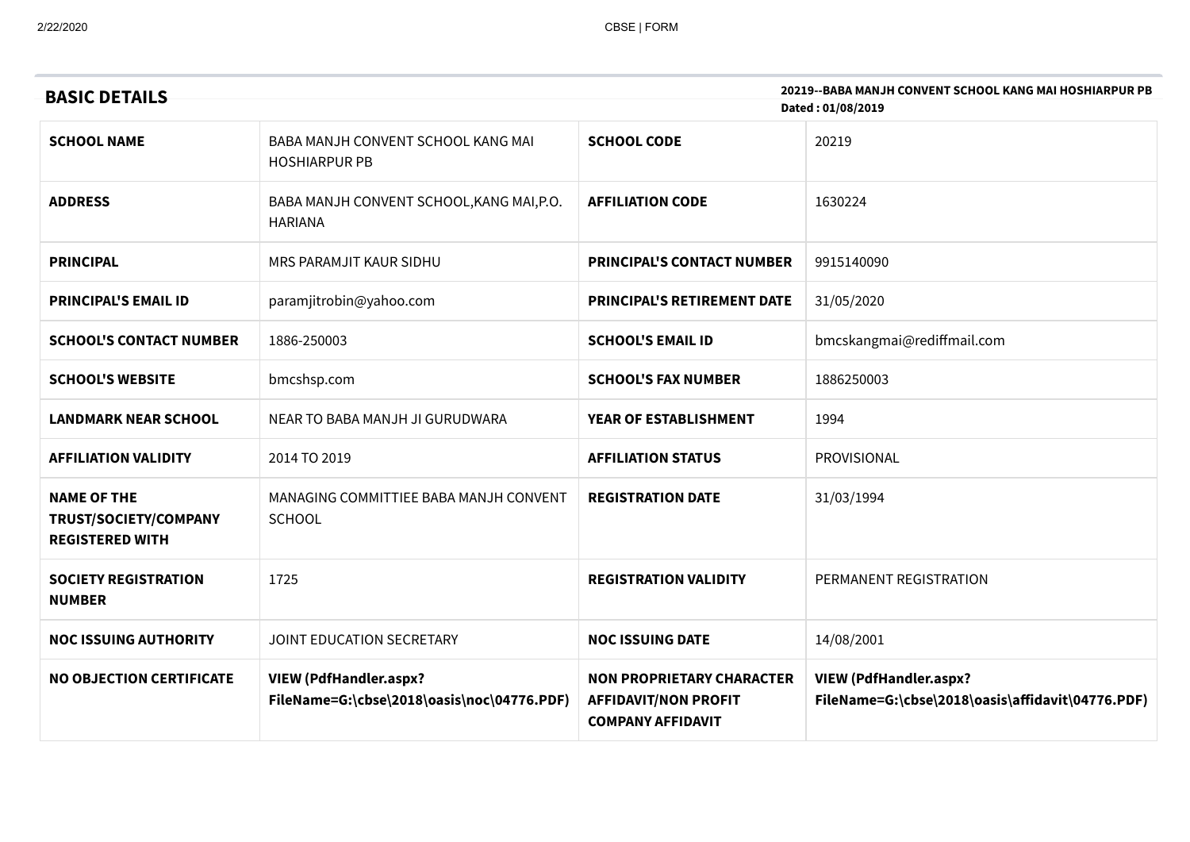| 20219--BABA MANJH CONVENT SCHOOL KANG MAI HOSHIARPUR PB<br><b>BASIC DETAILS</b><br>Dated: 01/08/2019 |                                                                             |                                                                                             |                                                                                   |  |
|------------------------------------------------------------------------------------------------------|-----------------------------------------------------------------------------|---------------------------------------------------------------------------------------------|-----------------------------------------------------------------------------------|--|
| <b>SCHOOL NAME</b>                                                                                   | BABA MANJH CONVENT SCHOOL KANG MAI<br><b>HOSHIARPUR PB</b>                  | <b>SCHOOL CODE</b>                                                                          | 20219                                                                             |  |
| <b>ADDRESS</b>                                                                                       | BABA MANJH CONVENT SCHOOL, KANG MAI, P.O.<br><b>HARIANA</b>                 | <b>AFFILIATION CODE</b>                                                                     | 1630224                                                                           |  |
| <b>PRINCIPAL</b>                                                                                     | MRS PARAMJIT KAUR SIDHU                                                     | <b>PRINCIPAL'S CONTACT NUMBER</b>                                                           | 9915140090                                                                        |  |
| <b>PRINCIPAL'S EMAIL ID</b>                                                                          | paramjitrobin@yahoo.com                                                     | <b>PRINCIPAL'S RETIREMENT DATE</b>                                                          | 31/05/2020                                                                        |  |
| <b>SCHOOL'S CONTACT NUMBER</b>                                                                       | 1886-250003                                                                 | <b>SCHOOL'S EMAIL ID</b>                                                                    | bmcskangmai@rediffmail.com                                                        |  |
| <b>SCHOOL'S WEBSITE</b>                                                                              | bmcshsp.com                                                                 | <b>SCHOOL'S FAX NUMBER</b>                                                                  | 1886250003                                                                        |  |
| <b>LANDMARK NEAR SCHOOL</b>                                                                          | NEAR TO BABA MANJH JI GURUDWARA                                             | YEAR OF ESTABLISHMENT                                                                       | 1994                                                                              |  |
| <b>AFFILIATION VALIDITY</b>                                                                          | 2014 TO 2019                                                                | <b>AFFILIATION STATUS</b>                                                                   | PROVISIONAL                                                                       |  |
| <b>NAME OF THE</b><br>TRUST/SOCIETY/COMPANY<br><b>REGISTERED WITH</b>                                | MANAGING COMMITTIEE BABA MANJH CONVENT<br><b>SCHOOL</b>                     | <b>REGISTRATION DATE</b>                                                                    | 31/03/1994                                                                        |  |
| <b>SOCIETY REGISTRATION</b><br><b>NUMBER</b>                                                         | 1725                                                                        | <b>REGISTRATION VALIDITY</b>                                                                | PERMANENT REGISTRATION                                                            |  |
| <b>NOC ISSUING AUTHORITY</b>                                                                         | JOINT EDUCATION SECRETARY                                                   | <b>NOC ISSUING DATE</b>                                                                     | 14/08/2001                                                                        |  |
| <b>NO OBJECTION CERTIFICATE</b>                                                                      | <b>VIEW (PdfHandler.aspx?</b><br>FileName=G:\cbse\2018\oasis\noc\04776.PDF) | <b>NON PROPRIETARY CHARACTER</b><br><b>AFFIDAVIT/NON PROFIT</b><br><b>COMPANY AFFIDAVIT</b> | <b>VIEW (PdfHandler.aspx?</b><br>FileName=G:\cbse\2018\oasis\affidavit\04776.PDF) |  |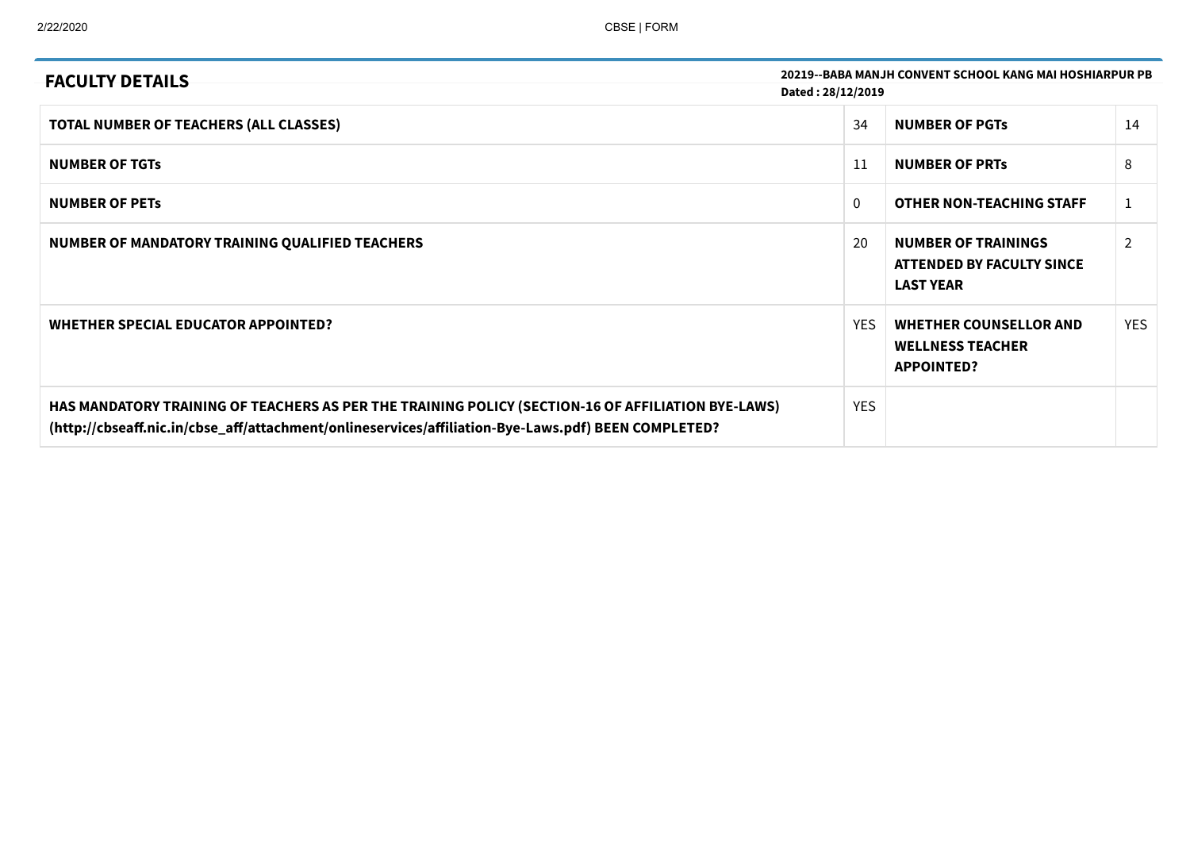| <b>FACULTY DETAILS</b>                                                                                                                                                                                    | 20219--BABA MANJH CONVENT SCHOOL KANG MAI HOSHIARPUR PB |                                                                               |               |  |  |
|-----------------------------------------------------------------------------------------------------------------------------------------------------------------------------------------------------------|---------------------------------------------------------|-------------------------------------------------------------------------------|---------------|--|--|
|                                                                                                                                                                                                           | Dated: 28/12/2019                                       |                                                                               |               |  |  |
| TOTAL NUMBER OF TEACHERS (ALL CLASSES)                                                                                                                                                                    | 34                                                      | <b>NUMBER OF PGTS</b>                                                         | 14            |  |  |
| <b>NUMBER OF TGTS</b>                                                                                                                                                                                     | 11                                                      | <b>NUMBER OF PRTS</b>                                                         | 8             |  |  |
| <b>NUMBER OF PETS</b>                                                                                                                                                                                     | $\mathbf{0}$                                            | <b>OTHER NON-TEACHING STAFF</b>                                               | 1             |  |  |
| NUMBER OF MANDATORY TRAINING QUALIFIED TEACHERS                                                                                                                                                           | 20                                                      | <b>NUMBER OF TRAININGS</b><br>ATTENDED BY FACULTY SINCE<br><b>LAST YEAR</b>   | $\mathcal{P}$ |  |  |
| WHETHER SPECIAL EDUCATOR APPOINTED?                                                                                                                                                                       | <b>YES</b>                                              | <b>WHETHER COUNSELLOR AND</b><br><b>WELLNESS TEACHER</b><br><b>APPOINTED?</b> | <b>YES</b>    |  |  |
| HAS MANDATORY TRAINING OF TEACHERS AS PER THE TRAINING POLICY (SECTION-16 OF AFFILIATION BYE-LAWS)<br>(http://cbseaff.nic.in/cbse_aff/attachment/onlineservices/affiliation-Bye-Laws.pdf) BEEN COMPLETED? | <b>YES</b>                                              |                                                                               |               |  |  |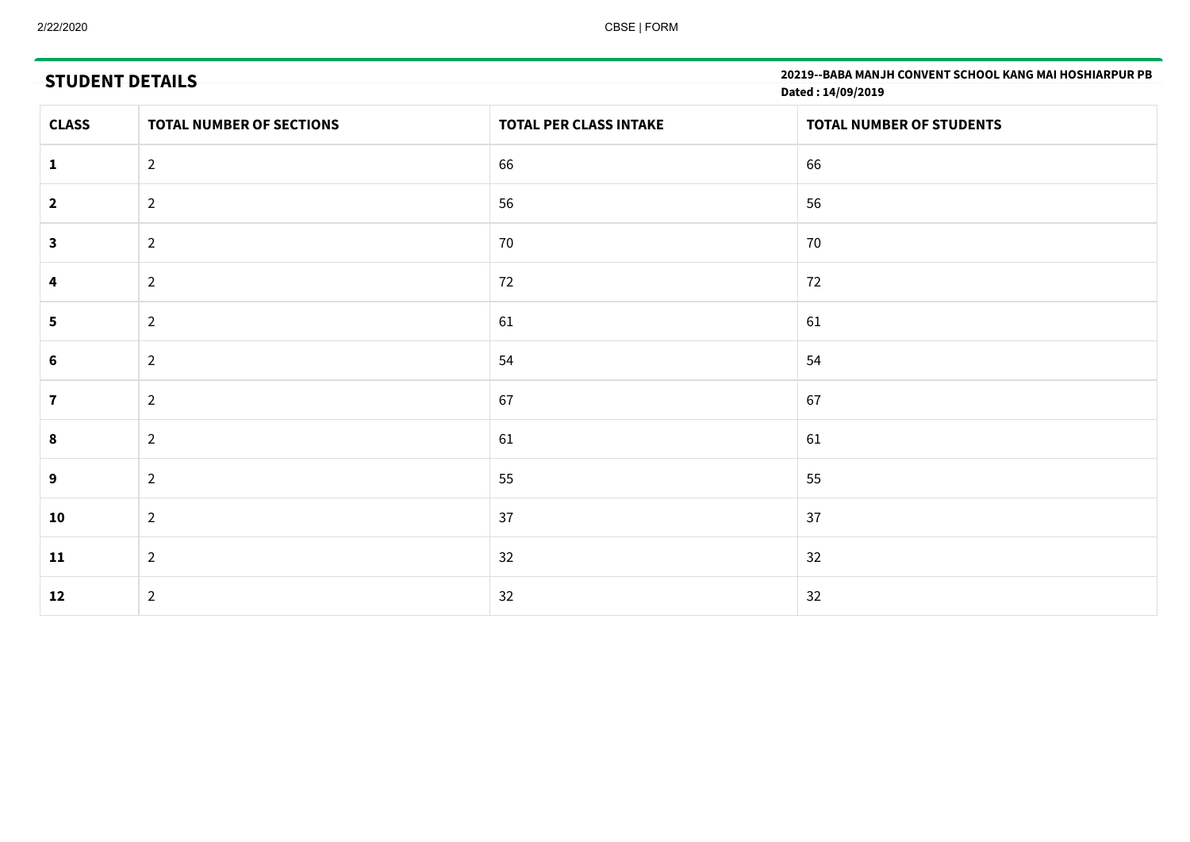# **STUDENT DETAILS**

**20219--BABA MANJH CONVENT SCHOOL KANG MAI HOSHIARPUR PB Dated : 14/09/2019**

| <b>CLASS</b>            | <b>TOTAL NUMBER OF SECTIONS</b> | <b>TOTAL PER CLASS INTAKE</b> | TOTAL NUMBER OF STUDENTS |
|-------------------------|---------------------------------|-------------------------------|--------------------------|
| 1                       | $\overline{2}$                  | 66                            | 66                       |
| $\overline{2}$          | $\overline{2}$                  | 56                            | 56                       |
| $\mathbf{3}$            | $\overline{2}$                  | 70                            | 70                       |
| 4                       | $\overline{2}$                  | 72                            | 72                       |
| $\overline{\mathbf{5}}$ | $\overline{2}$                  | 61                            | 61                       |
| 6                       | $\overline{2}$                  | 54                            | 54                       |
| $\mathbf{7}$            | $\overline{2}$                  | 67                            | 67                       |
| 8                       | $\overline{2}$                  | 61                            | 61                       |
| 9                       | $\overline{2}$                  | 55                            | 55                       |
| 10                      | $\overline{2}$                  | 37                            | 37                       |
| 11                      | $\overline{2}$                  | 32                            | 32                       |
| 12                      | $\overline{2}$                  | 32                            | 32                       |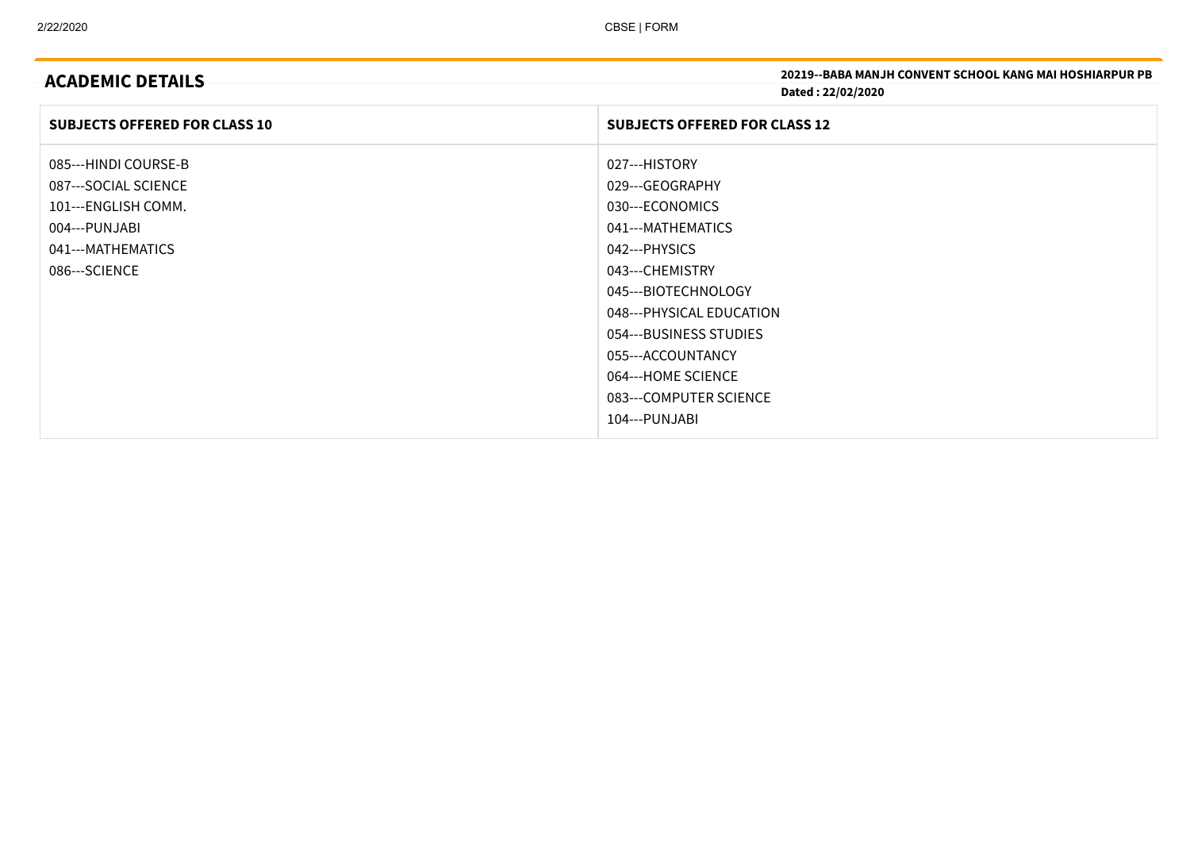| <b>ACADEMIC DETAILS</b>              | <b>20219--BABA MANJH CONVENT SCHOOL KANG MAI HOSHIARPUR PB</b> |
|--------------------------------------|----------------------------------------------------------------|
|                                      | Dated: 22/02/2020                                              |
| <b>SUBJECTS OFFERED FOR CLASS 10</b> | <b>SUBJECTS OFFERED FOR CLASS 12</b>                           |
| 085---HINDI COURSE-B                 | 027---HISTORY                                                  |
| 087---SOCIAL SCIENCE                 | 029---GEOGRAPHY                                                |
| 101---ENGLISH COMM.                  | 030---ECONOMICS                                                |
| 004---PUNJABI                        | 041---MATHEMATICS                                              |
| 041---MATHEMATICS                    | 042---PHYSICS                                                  |
| 086---SCIENCE                        | 043---CHEMISTRY                                                |
|                                      | 045---BIOTECHNOLOGY                                            |
|                                      | 048---PHYSICAL EDUCATION                                       |
|                                      | 054---BUSINESS STUDIES                                         |
|                                      | 055---ACCOUNTANCY                                              |
|                                      | 064---HOME SCIENCE                                             |
|                                      | 083---COMPUTER SCIENCE                                         |
|                                      | 104---PUNJABI                                                  |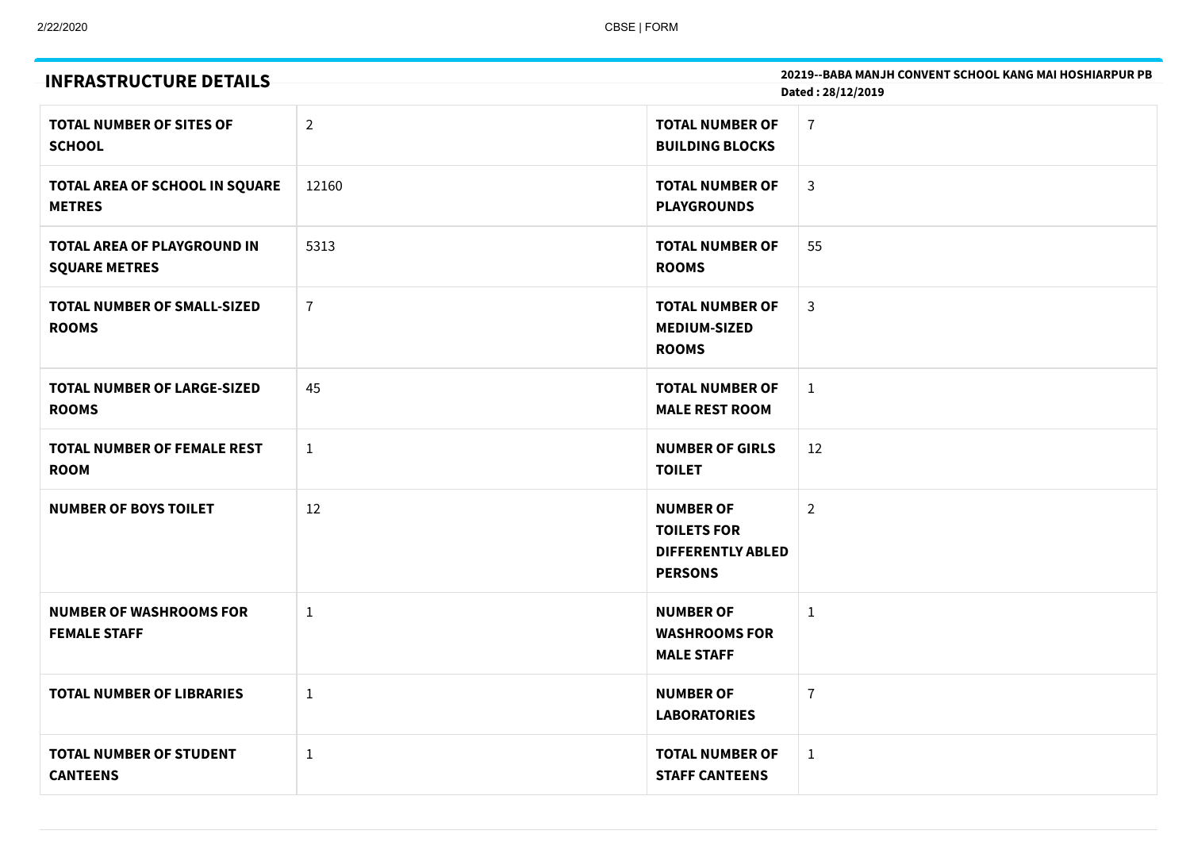| <b>INFRASTRUCTURE DETAILS</b>                              |                | 20219--BABA MANJH CONVENT SCHOOL KANG MAI HOSHIARPUR PB<br>Dated: 28/12/2019         |                |  |
|------------------------------------------------------------|----------------|--------------------------------------------------------------------------------------|----------------|--|
| <b>TOTAL NUMBER OF SITES OF</b><br><b>SCHOOL</b>           | $\overline{2}$ | <b>TOTAL NUMBER OF</b><br><b>BUILDING BLOCKS</b>                                     | $\overline{1}$ |  |
| TOTAL AREA OF SCHOOL IN SQUARE<br><b>METRES</b>            | 12160          | <b>TOTAL NUMBER OF</b><br><b>PLAYGROUNDS</b>                                         | $\mathsf{3}$   |  |
| <b>TOTAL AREA OF PLAYGROUND IN</b><br><b>SQUARE METRES</b> | 5313           | <b>TOTAL NUMBER OF</b><br><b>ROOMS</b>                                               | 55             |  |
| <b>TOTAL NUMBER OF SMALL-SIZED</b><br><b>ROOMS</b>         | $\overline{7}$ | <b>TOTAL NUMBER OF</b><br><b>MEDIUM-SIZED</b><br><b>ROOMS</b>                        | $\mathbf{3}$   |  |
| <b>TOTAL NUMBER OF LARGE-SIZED</b><br><b>ROOMS</b>         | 45             | <b>TOTAL NUMBER OF</b><br><b>MALE REST ROOM</b>                                      | $\mathbf{1}$   |  |
| <b>TOTAL NUMBER OF FEMALE REST</b><br><b>ROOM</b>          | $\mathbf{1}$   | <b>NUMBER OF GIRLS</b><br><b>TOILET</b>                                              | 12             |  |
| <b>NUMBER OF BOYS TOILET</b>                               | 12             | <b>NUMBER OF</b><br><b>TOILETS FOR</b><br><b>DIFFERENTLY ABLED</b><br><b>PERSONS</b> | $\overline{2}$ |  |
| <b>NUMBER OF WASHROOMS FOR</b><br><b>FEMALE STAFF</b>      | $\mathbf{1}$   | <b>NUMBER OF</b><br><b>WASHROOMS FOR</b><br><b>MALE STAFF</b>                        | $\mathbf{1}$   |  |
| <b>TOTAL NUMBER OF LIBRARIES</b>                           | $\mathbf{1}$   | <b>NUMBER OF</b><br><b>LABORATORIES</b>                                              | $\overline{7}$ |  |
| <b>TOTAL NUMBER OF STUDENT</b><br><b>CANTEENS</b>          | $\mathbf{1}$   | <b>TOTAL NUMBER OF</b><br><b>STAFF CANTEENS</b>                                      | $\mathbf{1}$   |  |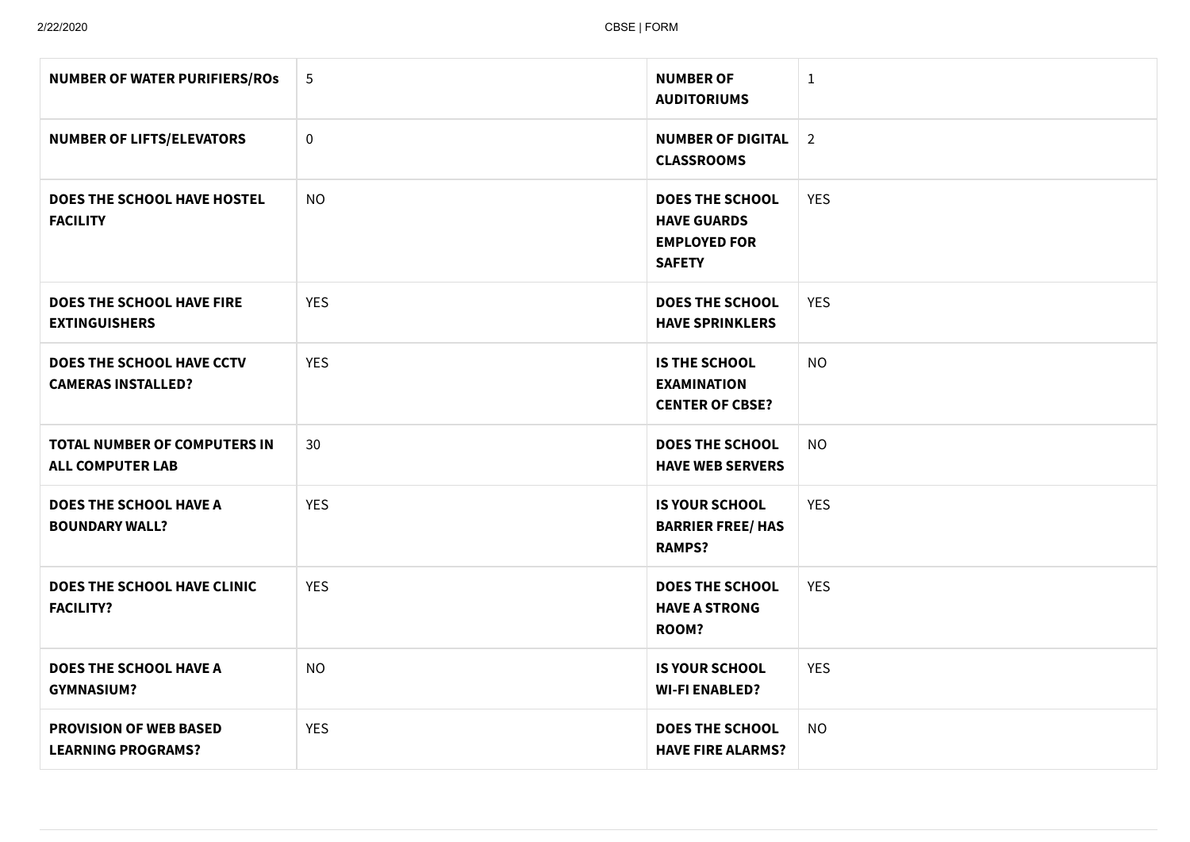| <b>NUMBER OF WATER PURIFIERS/ROS</b>                       | 5          | <b>NUMBER OF</b><br><b>AUDITORIUMS</b>                                               | $\mathbf{1}$   |
|------------------------------------------------------------|------------|--------------------------------------------------------------------------------------|----------------|
| <b>NUMBER OF LIFTS/ELEVATORS</b>                           | $\pmb{0}$  | <b>NUMBER OF DIGITAL</b><br><b>CLASSROOMS</b>                                        | $\overline{2}$ |
| DOES THE SCHOOL HAVE HOSTEL<br><b>FACILITY</b>             | <b>NO</b>  | <b>DOES THE SCHOOL</b><br><b>HAVE GUARDS</b><br><b>EMPLOYED FOR</b><br><b>SAFETY</b> | <b>YES</b>     |
| DOES THE SCHOOL HAVE FIRE<br><b>EXTINGUISHERS</b>          | <b>YES</b> | <b>DOES THE SCHOOL</b><br><b>HAVE SPRINKLERS</b>                                     | <b>YES</b>     |
| DOES THE SCHOOL HAVE CCTV<br><b>CAMERAS INSTALLED?</b>     | <b>YES</b> | <b>IS THE SCHOOL</b><br><b>EXAMINATION</b><br><b>CENTER OF CBSE?</b>                 | <b>NO</b>      |
| TOTAL NUMBER OF COMPUTERS IN<br><b>ALL COMPUTER LAB</b>    | 30         | <b>DOES THE SCHOOL</b><br><b>HAVE WEB SERVERS</b>                                    | <b>NO</b>      |
| <b>DOES THE SCHOOL HAVE A</b><br><b>BOUNDARY WALL?</b>     | <b>YES</b> | <b>IS YOUR SCHOOL</b><br><b>BARRIER FREE/ HAS</b><br><b>RAMPS?</b>                   | <b>YES</b>     |
| DOES THE SCHOOL HAVE CLINIC<br><b>FACILITY?</b>            | <b>YES</b> | <b>DOES THE SCHOOL</b><br><b>HAVE A STRONG</b><br>ROOM?                              | <b>YES</b>     |
| <b>DOES THE SCHOOL HAVE A</b><br><b>GYMNASIUM?</b>         | <b>NO</b>  | <b>IS YOUR SCHOOL</b><br><b>WI-FI ENABLED?</b>                                       | <b>YES</b>     |
| <b>PROVISION OF WEB BASED</b><br><b>LEARNING PROGRAMS?</b> | <b>YES</b> | <b>DOES THE SCHOOL</b><br><b>HAVE FIRE ALARMS?</b>                                   | <b>NO</b>      |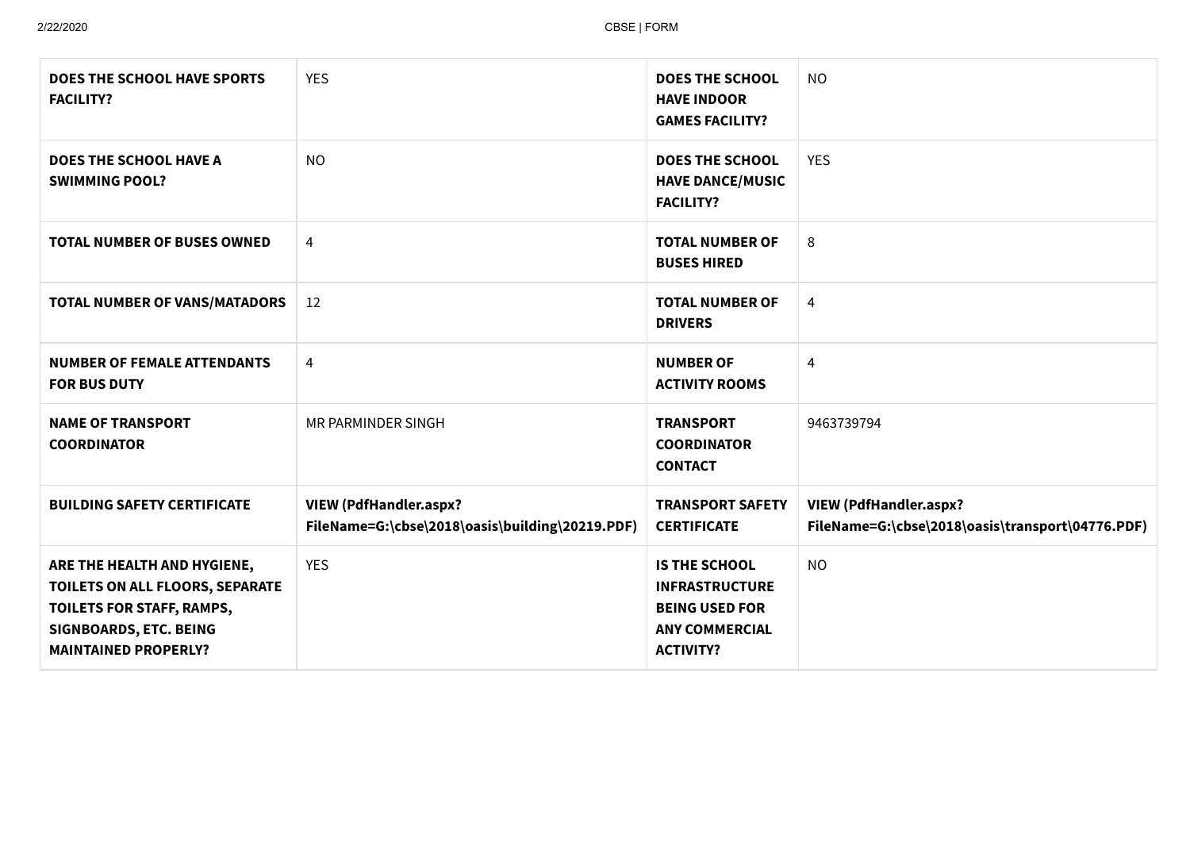| <b>DOES THE SCHOOL HAVE SPORTS</b><br><b>FACILITY?</b>                                                                                               | <b>YES</b>                                                                       | <b>DOES THE SCHOOL</b><br><b>HAVE INDOOR</b><br><b>GAMES FACILITY?</b>                                              | <b>NO</b>                                                                         |
|------------------------------------------------------------------------------------------------------------------------------------------------------|----------------------------------------------------------------------------------|---------------------------------------------------------------------------------------------------------------------|-----------------------------------------------------------------------------------|
| <b>DOES THE SCHOOL HAVE A</b><br><b>SWIMMING POOL?</b>                                                                                               | <b>NO</b>                                                                        | <b>DOES THE SCHOOL</b><br><b>HAVE DANCE/MUSIC</b><br><b>FACILITY?</b>                                               | <b>YES</b>                                                                        |
| <b>TOTAL NUMBER OF BUSES OWNED</b>                                                                                                                   | 4                                                                                | <b>TOTAL NUMBER OF</b><br><b>BUSES HIRED</b>                                                                        | 8                                                                                 |
| TOTAL NUMBER OF VANS/MATADORS                                                                                                                        | 12                                                                               | <b>TOTAL NUMBER OF</b><br><b>DRIVERS</b>                                                                            | 4                                                                                 |
| <b>NUMBER OF FEMALE ATTENDANTS</b><br><b>FOR BUS DUTY</b>                                                                                            | 4                                                                                | <b>NUMBER OF</b><br><b>ACTIVITY ROOMS</b>                                                                           | 4                                                                                 |
| <b>NAME OF TRANSPORT</b><br><b>COORDINATOR</b>                                                                                                       | MR PARMINDER SINGH                                                               | <b>TRANSPORT</b><br><b>COORDINATOR</b><br><b>CONTACT</b>                                                            | 9463739794                                                                        |
| <b>BUILDING SAFETY CERTIFICATE</b>                                                                                                                   | <b>VIEW (PdfHandler.aspx?</b><br>FileName=G:\cbse\2018\oasis\building\20219.PDF) | <b>TRANSPORT SAFETY</b><br><b>CERTIFICATE</b>                                                                       | <b>VIEW (PdfHandler.aspx?</b><br>FileName=G:\cbse\2018\oasis\transport\04776.PDF) |
| ARE THE HEALTH AND HYGIENE,<br>TOILETS ON ALL FLOORS, SEPARATE<br>TOILETS FOR STAFF, RAMPS,<br>SIGNBOARDS, ETC. BEING<br><b>MAINTAINED PROPERLY?</b> | <b>YES</b>                                                                       | <b>IS THE SCHOOL</b><br><b>INFRASTRUCTURE</b><br><b>BEING USED FOR</b><br><b>ANY COMMERCIAL</b><br><b>ACTIVITY?</b> | <b>NO</b>                                                                         |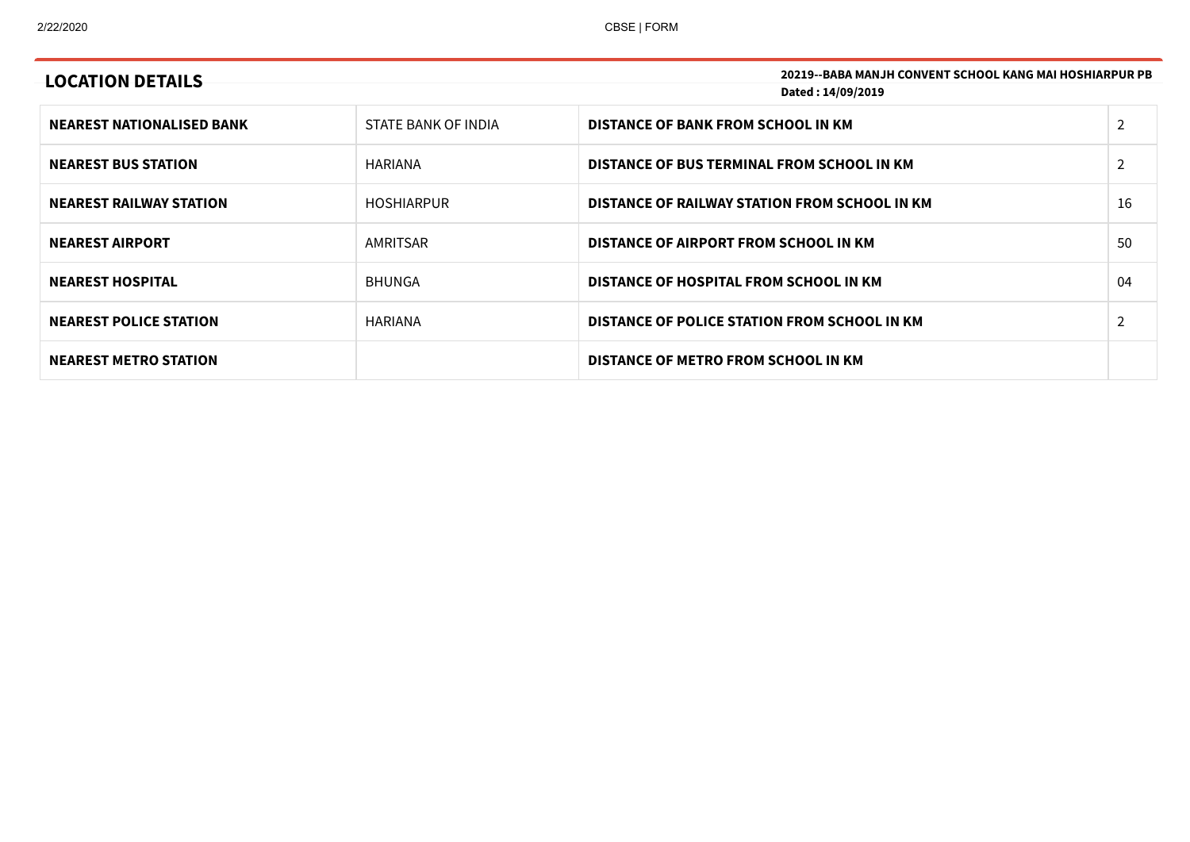| <b>LOCATION DETAILS</b>          |                     | <b>20219--BABA MANJH CONVENT SCHOOL KANG MAI HOSHIARPUR PB</b><br>Dated: 14/09/2019 |                |
|----------------------------------|---------------------|-------------------------------------------------------------------------------------|----------------|
| <b>NEAREST NATIONALISED BANK</b> | STATE BANK OF INDIA | DISTANCE OF BANK FROM SCHOOL IN KM                                                  | $\overline{2}$ |
| <b>NEAREST BUS STATION</b>       | HARIANA             | DISTANCE OF BUS TERMINAL FROM SCHOOL IN KM                                          | $\overline{2}$ |
| <b>NEAREST RAILWAY STATION</b>   | <b>HOSHIARPUR</b>   | DISTANCE OF RAILWAY STATION FROM SCHOOL IN KM                                       | 16             |
| <b>NEAREST AIRPORT</b>           | AMRITSAR            | DISTANCE OF AIRPORT FROM SCHOOL IN KM                                               | 50             |
| <b>NEAREST HOSPITAL</b>          | <b>BHUNGA</b>       | DISTANCE OF HOSPITAL FROM SCHOOL IN KM                                              | 04             |
| <b>NEAREST POLICE STATION</b>    | HARIANA             | DISTANCE OF POLICE STATION FROM SCHOOL IN KM                                        | 2              |
| <b>NEAREST METRO STATION</b>     |                     | DISTANCE OF METRO FROM SCHOOL IN KM                                                 |                |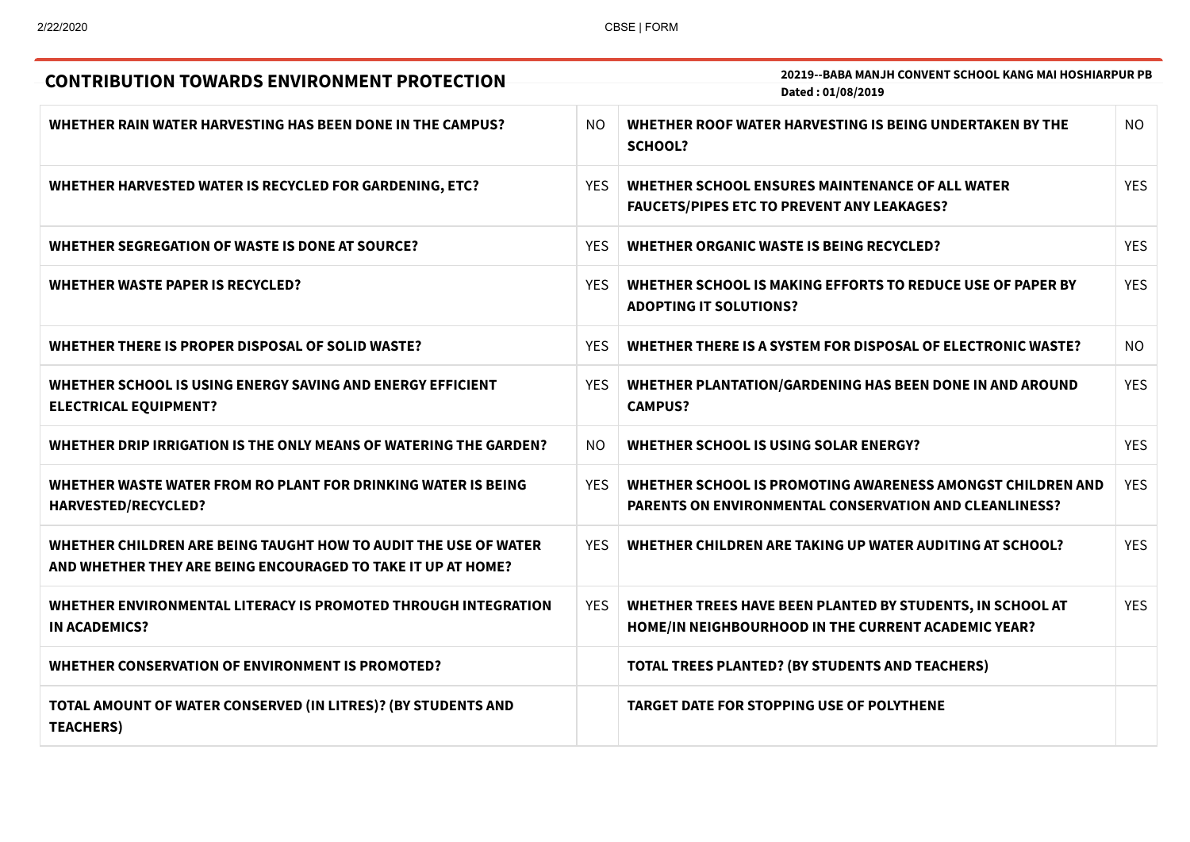| <b>CONTRIBUTION TOWARDS ENVIRONMENT PROTECTION</b>                                                                              | <b>20219--BABA MANJH CONVENT SCHOOL KANG MAI HOSHIARPUR PB</b> |                                                                                                                             |            |
|---------------------------------------------------------------------------------------------------------------------------------|----------------------------------------------------------------|-----------------------------------------------------------------------------------------------------------------------------|------------|
|                                                                                                                                 |                                                                | Dated: 01/08/2019                                                                                                           |            |
| WHETHER RAIN WATER HARVESTING HAS BEEN DONE IN THE CAMPUS?                                                                      | NO.                                                            | WHETHER ROOF WATER HARVESTING IS BEING UNDERTAKEN BY THE<br><b>SCHOOL?</b>                                                  | <b>NO</b>  |
| WHETHER HARVESTED WATER IS RECYCLED FOR GARDENING, ETC?                                                                         | <b>YES</b>                                                     | WHETHER SCHOOL ENSURES MAINTENANCE OF ALL WATER<br><b>FAUCETS/PIPES ETC TO PREVENT ANY LEAKAGES?</b>                        | <b>YES</b> |
| WHETHER SEGREGATION OF WASTE IS DONE AT SOURCE?                                                                                 | <b>YES</b>                                                     | <b>WHETHER ORGANIC WASTE IS BEING RECYCLED?</b>                                                                             | <b>YES</b> |
| <b>WHETHER WASTE PAPER IS RECYCLED?</b>                                                                                         | <b>YES</b>                                                     | WHETHER SCHOOL IS MAKING EFFORTS TO REDUCE USE OF PAPER BY<br><b>ADOPTING IT SOLUTIONS?</b>                                 | <b>YES</b> |
| WHETHER THERE IS PROPER DISPOSAL OF SOLID WASTE?                                                                                | <b>YES</b>                                                     | WHETHER THERE IS A SYSTEM FOR DISPOSAL OF ELECTRONIC WASTE?                                                                 | NO.        |
| WHETHER SCHOOL IS USING ENERGY SAVING AND ENERGY EFFICIENT<br><b>ELECTRICAL EQUIPMENT?</b>                                      | <b>YES</b>                                                     | WHETHER PLANTATION/GARDENING HAS BEEN DONE IN AND AROUND<br><b>CAMPUS?</b>                                                  | <b>YES</b> |
| WHETHER DRIP IRRIGATION IS THE ONLY MEANS OF WATERING THE GARDEN?                                                               | NO                                                             | <b>WHETHER SCHOOL IS USING SOLAR ENERGY?</b>                                                                                | <b>YES</b> |
| WHETHER WASTE WATER FROM RO PLANT FOR DRINKING WATER IS BEING<br><b>HARVESTED/RECYCLED?</b>                                     | <b>YES</b>                                                     | WHETHER SCHOOL IS PROMOTING AWARENESS AMONGST CHILDREN AND<br><b>PARENTS ON ENVIRONMENTAL CONSERVATION AND CLEANLINESS?</b> | <b>YES</b> |
| WHETHER CHILDREN ARE BEING TAUGHT HOW TO AUDIT THE USE OF WATER<br>AND WHETHER THEY ARE BEING ENCOURAGED TO TAKE IT UP AT HOME? | <b>YES</b>                                                     | <b>WHETHER CHILDREN ARE TAKING UP WATER AUDITING AT SCHOOL?</b>                                                             | <b>YES</b> |
| WHETHER ENVIRONMENTAL LITERACY IS PROMOTED THROUGH INTEGRATION<br><b>IN ACADEMICS?</b>                                          | <b>YES</b>                                                     | WHETHER TREES HAVE BEEN PLANTED BY STUDENTS, IN SCHOOL AT<br>HOME/IN NEIGHBOURHOOD IN THE CURRENT ACADEMIC YEAR?            | <b>YES</b> |
| WHETHER CONSERVATION OF ENVIRONMENT IS PROMOTED?                                                                                |                                                                | <b>TOTAL TREES PLANTED? (BY STUDENTS AND TEACHERS)</b>                                                                      |            |
| TOTAL AMOUNT OF WATER CONSERVED (IN LITRES)? (BY STUDENTS AND<br><b>TEACHERS)</b>                                               |                                                                | <b>TARGET DATE FOR STOPPING USE OF POLYTHENE</b>                                                                            |            |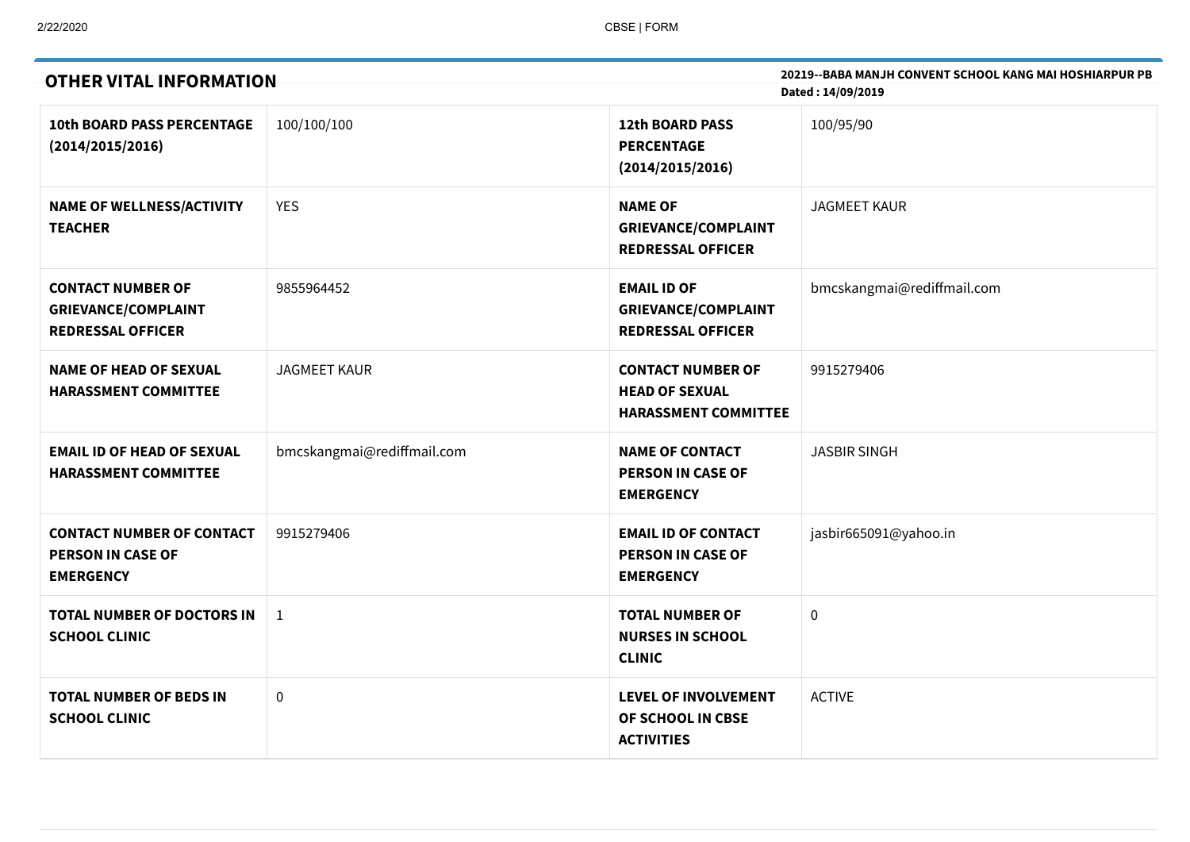| <b>OTHER VITAL INFORMATION</b>                                                     |                            | 20219--BABA MANJH CONVENT SCHOOL KANG MAI HOSHIARPUR PB<br>Dated: 14/09/2019     |                            |  |
|------------------------------------------------------------------------------------|----------------------------|----------------------------------------------------------------------------------|----------------------------|--|
| <b>10th BOARD PASS PERCENTAGE</b><br>(2014/2015/2016)                              | 100/100/100                | <b>12th BOARD PASS</b><br><b>PERCENTAGE</b><br>(2014/2015/2016)                  | 100/95/90                  |  |
| <b>NAME OF WELLNESS/ACTIVITY</b><br><b>TEACHER</b>                                 | <b>YES</b>                 | <b>NAME OF</b><br><b>GRIEVANCE/COMPLAINT</b><br><b>REDRESSAL OFFICER</b>         | <b>JAGMEET KAUR</b>        |  |
| <b>CONTACT NUMBER OF</b><br><b>GRIEVANCE/COMPLAINT</b><br><b>REDRESSAL OFFICER</b> | 9855964452                 | <b>EMAIL ID OF</b><br><b>GRIEVANCE/COMPLAINT</b><br><b>REDRESSAL OFFICER</b>     | bmcskangmai@rediffmail.com |  |
| <b>NAME OF HEAD OF SEXUAL</b><br><b>HARASSMENT COMMITTEE</b>                       | <b>JAGMEET KAUR</b>        | <b>CONTACT NUMBER OF</b><br><b>HEAD OF SEXUAL</b><br><b>HARASSMENT COMMITTEE</b> | 9915279406                 |  |
| <b>EMAIL ID OF HEAD OF SEXUAL</b><br><b>HARASSMENT COMMITTEE</b>                   | bmcskangmai@rediffmail.com | <b>NAME OF CONTACT</b><br><b>PERSON IN CASE OF</b><br><b>EMERGENCY</b>           | <b>JASBIR SINGH</b>        |  |
| <b>CONTACT NUMBER OF CONTACT</b><br>PERSON IN CASE OF<br><b>EMERGENCY</b>          | 9915279406                 | <b>EMAIL ID OF CONTACT</b><br><b>PERSON IN CASE OF</b><br><b>EMERGENCY</b>       | jasbir665091@yahoo.in      |  |
| TOTAL NUMBER OF DOCTORS IN<br><b>SCHOOL CLINIC</b>                                 | $\mathbf{1}$               | <b>TOTAL NUMBER OF</b><br><b>NURSES IN SCHOOL</b><br><b>CLINIC</b>               | $\pmb{0}$                  |  |
| <b>TOTAL NUMBER OF BEDS IN</b><br><b>SCHOOL CLINIC</b>                             | 0                          | <b>LEVEL OF INVOLVEMENT</b><br>OF SCHOOL IN CBSE<br><b>ACTIVITIES</b>            | <b>ACTIVE</b>              |  |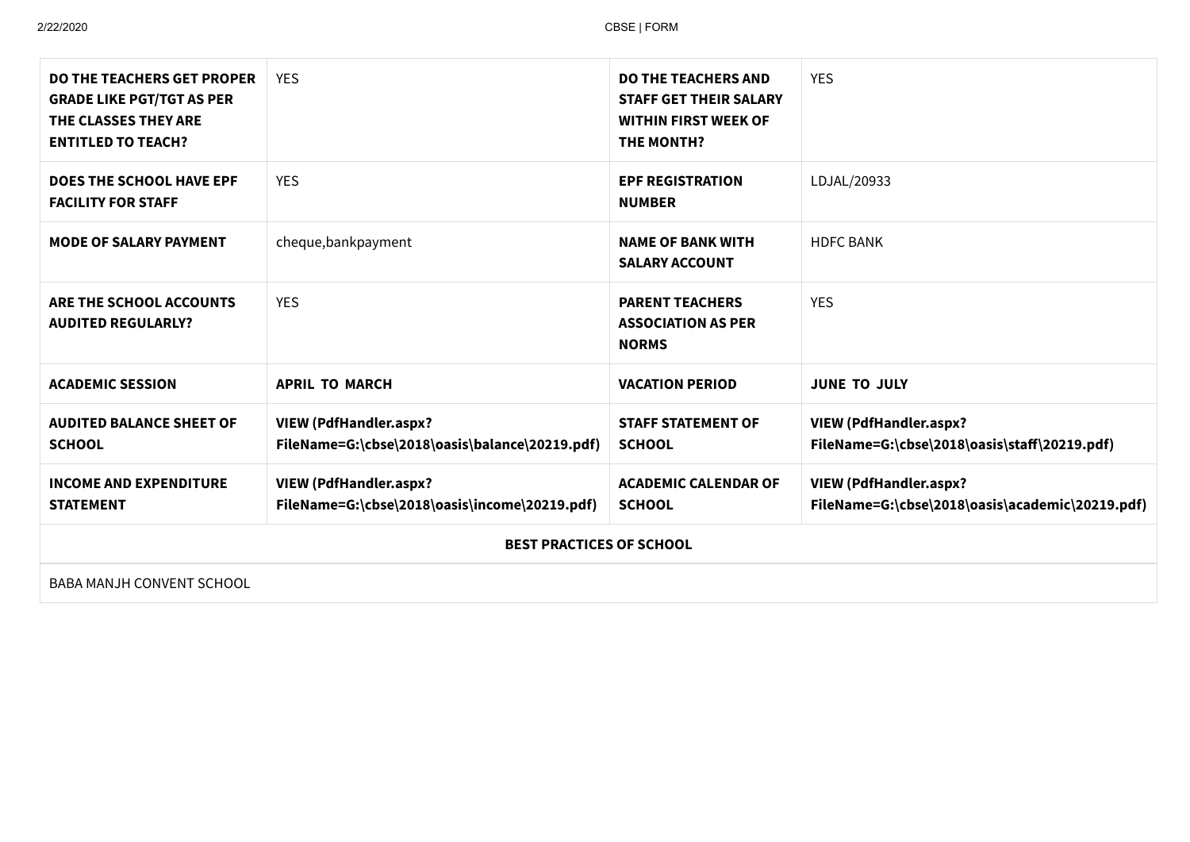| <b>DO THE TEACHERS GET PROPER</b><br><b>GRADE LIKE PGT/TGT AS PER</b><br>THE CLASSES THEY ARE<br><b>ENTITLED TO TEACH?</b> | <b>YES</b>                                                                      | <b>DO THE TEACHERS AND</b><br><b>STAFF GET THEIR SALARY</b><br><b>WITHIN FIRST WEEK OF</b><br><b>THE MONTH?</b> | <b>YES</b>                                                                       |  |
|----------------------------------------------------------------------------------------------------------------------------|---------------------------------------------------------------------------------|-----------------------------------------------------------------------------------------------------------------|----------------------------------------------------------------------------------|--|
| <b>DOES THE SCHOOL HAVE EPF</b><br><b>FACILITY FOR STAFF</b>                                                               | <b>YES</b>                                                                      | <b>EPF REGISTRATION</b><br><b>NUMBER</b>                                                                        | LDJAL/20933                                                                      |  |
| <b>MODE OF SALARY PAYMENT</b>                                                                                              | cheque, bankpayment                                                             | <b>NAME OF BANK WITH</b><br><b>SALARY ACCOUNT</b>                                                               | <b>HDFC BANK</b>                                                                 |  |
| ARE THE SCHOOL ACCOUNTS<br><b>AUDITED REGULARLY?</b>                                                                       | <b>YES</b>                                                                      | <b>PARENT TEACHERS</b><br><b>ASSOCIATION AS PER</b><br><b>NORMS</b>                                             | <b>YES</b>                                                                       |  |
| <b>ACADEMIC SESSION</b>                                                                                                    | <b>APRIL TO MARCH</b>                                                           | <b>VACATION PERIOD</b>                                                                                          | <b>JUNE TO JULY</b>                                                              |  |
| <b>AUDITED BALANCE SHEET OF</b><br><b>SCHOOL</b>                                                                           | <b>VIEW (PdfHandler.aspx?</b><br>FileName=G:\cbse\2018\oasis\balance\20219.pdf) | <b>STAFF STATEMENT OF</b><br><b>SCHOOL</b>                                                                      | <b>VIEW (PdfHandler.aspx?</b><br>FileName=G:\cbse\2018\oasis\staff\20219.pdf)    |  |
| <b>INCOME AND EXPENDITURE</b><br><b>STATEMENT</b>                                                                          | <b>VIEW (PdfHandler.aspx?</b><br>FileName=G:\cbse\2018\oasis\income\20219.pdf)  | <b>ACADEMIC CALENDAR OF</b><br><b>SCHOOL</b>                                                                    | <b>VIEW (PdfHandler.aspx?</b><br>FileName=G:\cbse\2018\oasis\academic\20219.pdf) |  |
|                                                                                                                            | <b>BEST PRACTICES OF SCHOOL</b>                                                 |                                                                                                                 |                                                                                  |  |
| BABA MANJH CONVENT SCHOOL                                                                                                  |                                                                                 |                                                                                                                 |                                                                                  |  |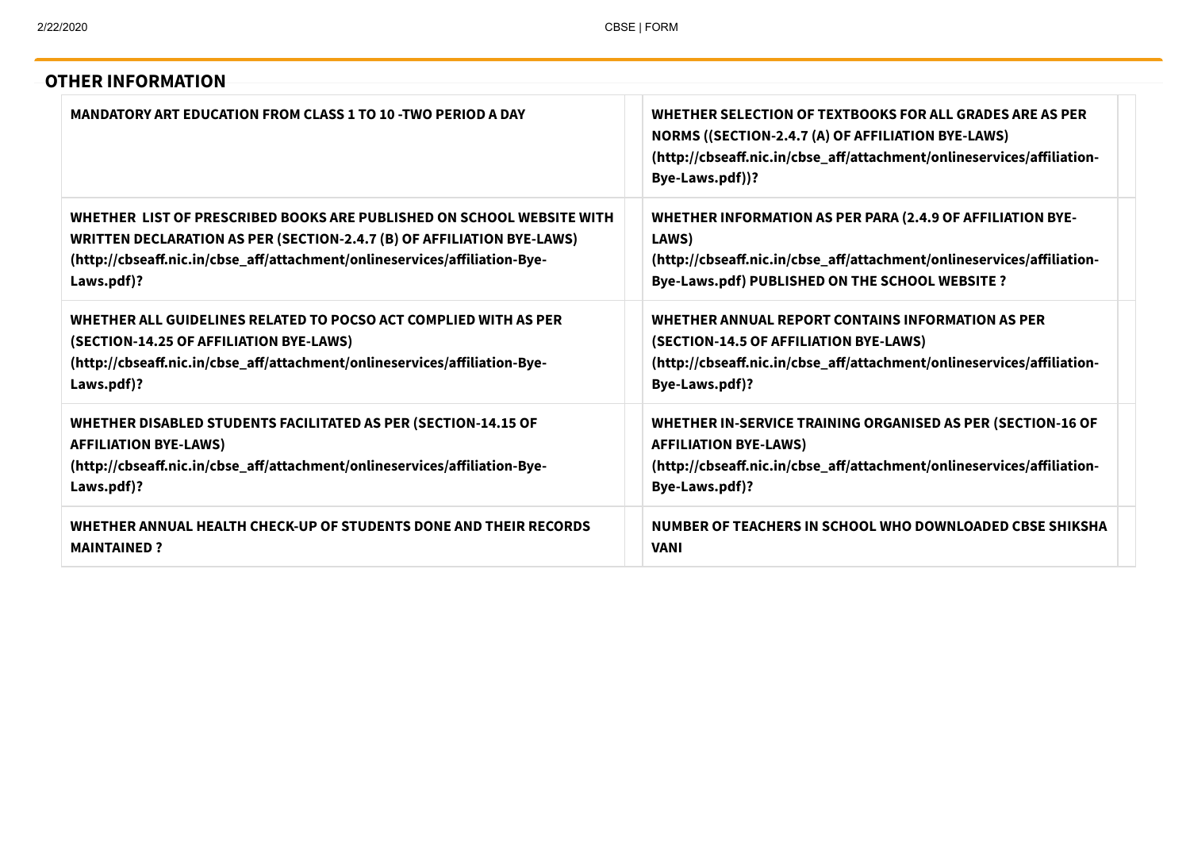| MANDATORY ART EDUCATION FROM CLASS 1 TO 10 -TWO PERIOD A DAY                  | WHETHER SELECTION OF TEXTBOOKS FOR ALL GRADES ARE AS PER<br>NORMS ((SECTION-2.4.7 (A) OF AFFILIATION BYE-LAWS)<br>(http://cbseaff.nic.in/cbse_aff/attachment/onlineservices/affiliation-<br>Bye-Laws.pdf))? |
|-------------------------------------------------------------------------------|-------------------------------------------------------------------------------------------------------------------------------------------------------------------------------------------------------------|
| WHETHER LIST OF PRESCRIBED BOOKS ARE PUBLISHED ON SCHOOL WEBSITE WITH         | WHETHER INFORMATION AS PER PARA (2.4.9 OF AFFILIATION BYE-                                                                                                                                                  |
| <b>WRITTEN DECLARATION AS PER (SECTION-2.4.7 (B) OF AFFILIATION BYE-LAWS)</b> | LAWS)                                                                                                                                                                                                       |
| (http://cbseaff.nic.in/cbse_aff/attachment/onlineservices/affiliation-Bye-    | (http://cbseaff.nic.in/cbse_aff/attachment/onlineservices/affiliation-                                                                                                                                      |
| Laws.pdf)?                                                                    | Bye-Laws.pdf) PUBLISHED ON THE SCHOOL WEBSITE ?                                                                                                                                                             |
| WHETHER ALL GUIDELINES RELATED TO POCSO ACT COMPLIED WITH AS PER              | WHETHER ANNUAL REPORT CONTAINS INFORMATION AS PER                                                                                                                                                           |
| (SECTION-14.25 OF AFFILIATION BYE-LAWS)                                       | (SECTION-14.5 OF AFFILIATION BYE-LAWS)                                                                                                                                                                      |
| (http://cbseaff.nic.in/cbse_aff/attachment/onlineservices/affiliation-Bye-    | (http://cbseaff.nic.in/cbse_aff/attachment/onlineservices/affiliation-                                                                                                                                      |
| Laws.pdf)?                                                                    | Bye-Laws.pdf)?                                                                                                                                                                                              |
| WHETHER DISABLED STUDENTS FACILITATED AS PER (SECTION-14.15 OF                | WHETHER IN-SERVICE TRAINING ORGANISED AS PER (SECTION-16 OF                                                                                                                                                 |
| <b>AFFILIATION BYE-LAWS)</b>                                                  | <b>AFFILIATION BYE-LAWS)</b>                                                                                                                                                                                |
| (http://cbseaff.nic.in/cbse_aff/attachment/onlineservices/affiliation-Bye-    | (http://cbseaff.nic.in/cbse_aff/attachment/onlineservices/affiliation-                                                                                                                                      |
| Laws.pdf)?                                                                    | Bye-Laws.pdf)?                                                                                                                                                                                              |
| WHETHER ANNUAL HEALTH CHECK-UP OF STUDENTS DONE AND THEIR RECORDS             | NUMBER OF TEACHERS IN SCHOOL WHO DOWNLOADED CBSE SHIKSHA                                                                                                                                                    |
| <b>MAINTAINED?</b>                                                            | <b>VANI</b>                                                                                                                                                                                                 |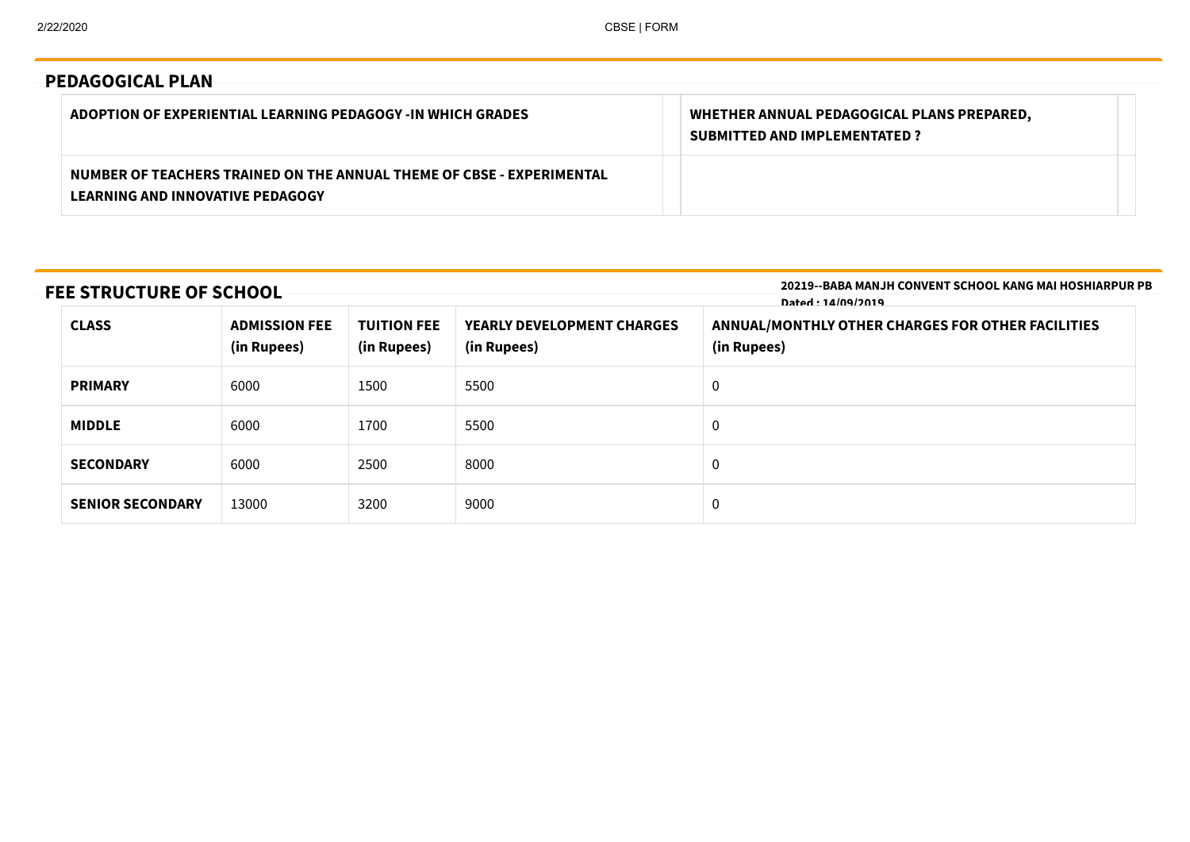# **PEDAGOGICAL PLAN**

| ADOPTION OF EXPERIENTIAL LEARNING PEDAGOGY -IN WHICH GRADES                                               | WHETHER ANNUAL PEDAGOGICAL PLANS PREPARED,<br><b>SUBMITTED AND IMPLEMENTATED ?</b> |
|-----------------------------------------------------------------------------------------------------------|------------------------------------------------------------------------------------|
| NUMBER OF TEACHERS TRAINED ON THE ANNUAL THEME OF CBSE - EXPERIMENTAL<br>LEARNING AND INNOVATIVE PEDAGOGY |                                                                                    |

# **FEE STRUCTURE OF SCHOOL**

**20219--BABA MANJH CONVENT SCHOOL KANG MAI HOSHIARPUR PB Dated : 14/09/2019**

| <b>CLASS</b><br><b>ADMISSION FEE</b><br>(in Rupees)<br>(in Rupees) |       | <b>TUITION FEE</b> | <b>YEARLY DEVELOPMENT CHARGES</b><br>(in Rupees) | ANNUAL/MONTHLY OTHER CHARGES FOR OTHER FACILITIES<br>(in Rupees) |  |  |
|--------------------------------------------------------------------|-------|--------------------|--------------------------------------------------|------------------------------------------------------------------|--|--|
| 6000<br>1500<br><b>PRIMARY</b>                                     |       | 5500               | 0                                                |                                                                  |  |  |
| 6000<br><b>MIDDLE</b><br>1700<br>6000<br>2500<br><b>SECONDARY</b>  |       | 5500<br>0          |                                                  |                                                                  |  |  |
|                                                                    |       | 8000               | 0                                                |                                                                  |  |  |
| <b>SENIOR SECONDARY</b>                                            | 13000 | 3200               | 9000                                             | 0                                                                |  |  |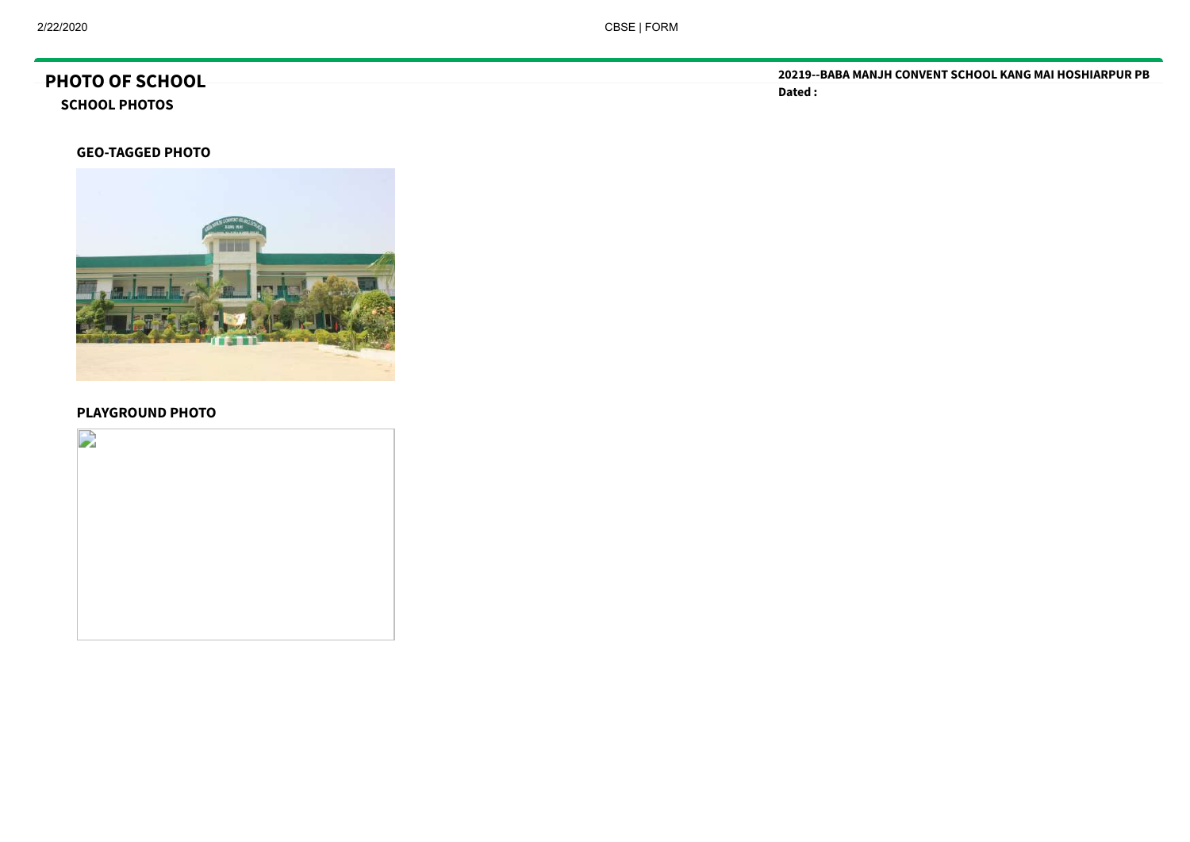# **PHOTO OF SCHOOL**

**SCHOOL PHOTOS**

**GEO-TAGGED PHOTO**



#### **PLAYGROUND PHOTO**



**20219--BABA MANJH CONVENT SCHOOL KANG MAI HOSHIARPUR PB Dated :**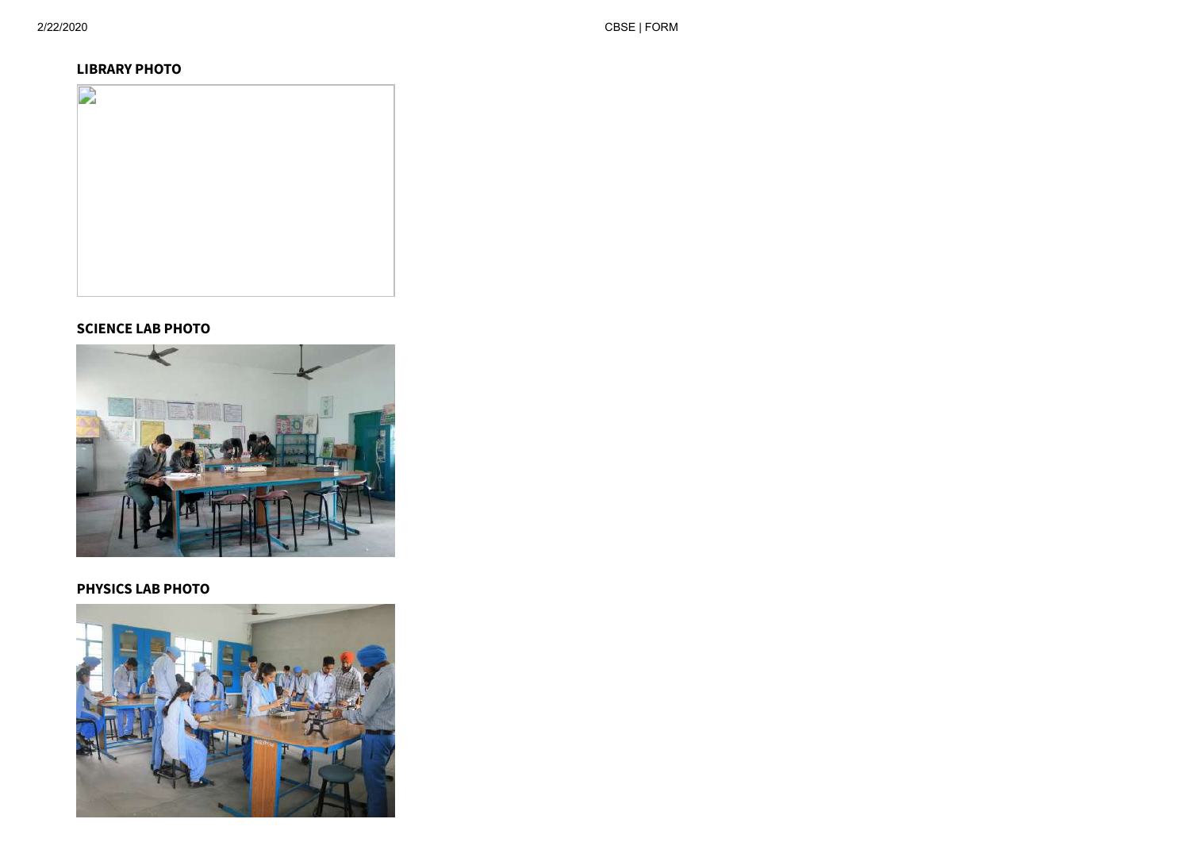#### **LIBRARY PHOTO**



### **SCIENCE LAB PHOTO**



#### **PHYSICS LAB PHOTO**

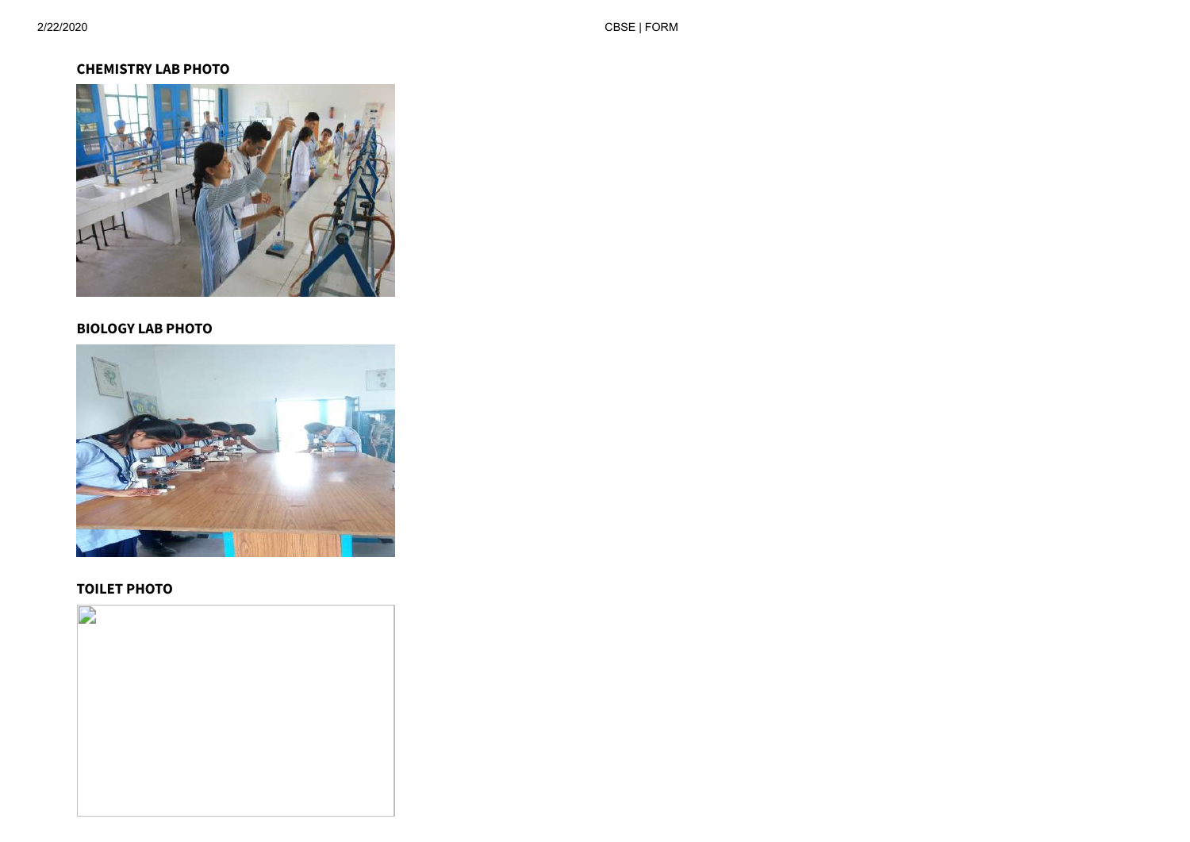### **CHEMISTRY LAB PHOTO**



#### **BIOLOGY LAB PHOTO**



#### **TOILET PHOTO**

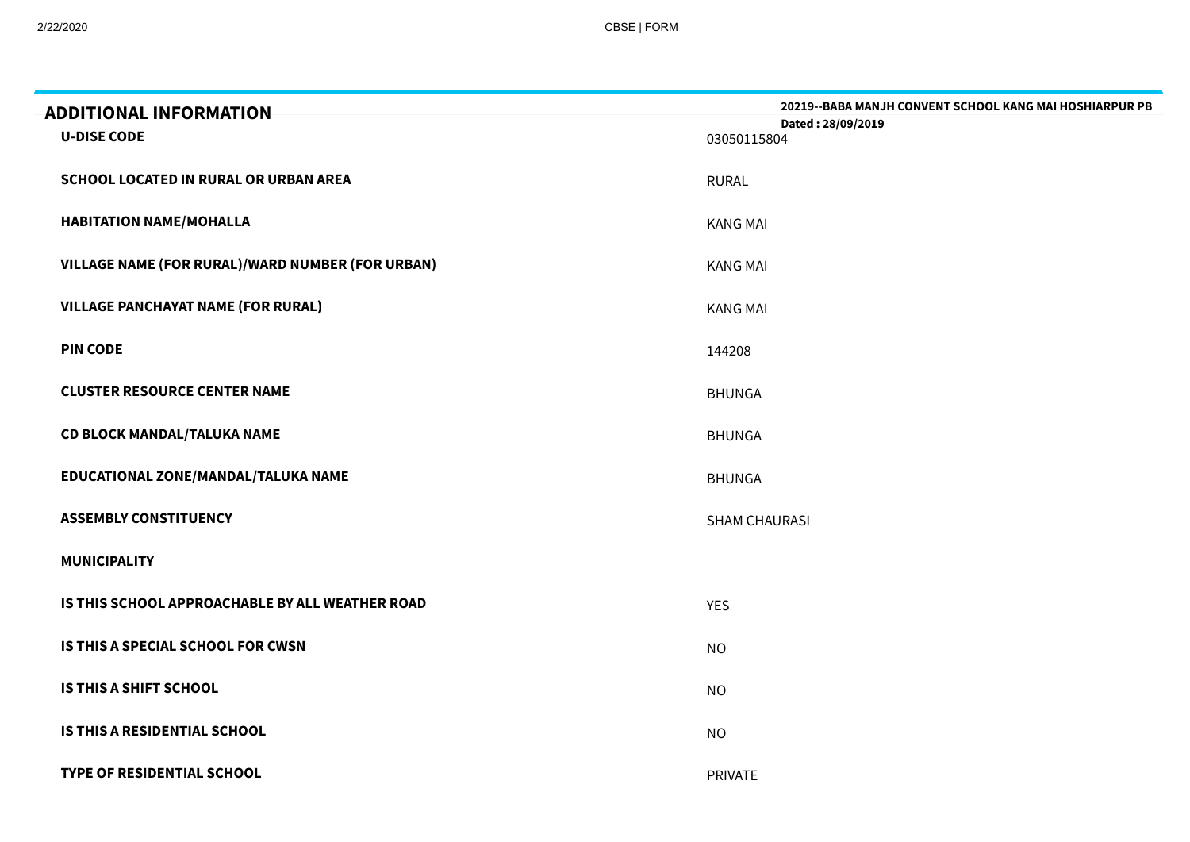| <b>ADDITIONAL INFORMATION</b><br><b>U-DISE CODE</b> | <b>20219--BABA MANJH CONVENT SCHOOL KANG MAI HOSHIARPUR PB</b><br>Dated: 28/09/2019<br>03050115804 |
|-----------------------------------------------------|----------------------------------------------------------------------------------------------------|
| <b>SCHOOL LOCATED IN RURAL OR URBAN AREA</b>        | <b>RURAL</b>                                                                                       |
| <b>HABITATION NAME/MOHALLA</b>                      | <b>KANG MAI</b>                                                                                    |
| VILLAGE NAME (FOR RURAL)/WARD NUMBER (FOR URBAN)    | <b>KANG MAI</b>                                                                                    |
| <b>VILLAGE PANCHAYAT NAME (FOR RURAL)</b>           | <b>KANG MAI</b>                                                                                    |
| <b>PIN CODE</b>                                     | 144208                                                                                             |
| <b>CLUSTER RESOURCE CENTER NAME</b>                 | <b>BHUNGA</b>                                                                                      |
| CD BLOCK MANDAL/TALUKA NAME                         | <b>BHUNGA</b>                                                                                      |
| EDUCATIONAL ZONE/MANDAL/TALUKA NAME                 | <b>BHUNGA</b>                                                                                      |
| <b>ASSEMBLY CONSTITUENCY</b>                        | <b>SHAM CHAURASI</b>                                                                               |
| <b>MUNICIPALITY</b>                                 |                                                                                                    |
| IS THIS SCHOOL APPROACHABLE BY ALL WEATHER ROAD     | <b>YES</b>                                                                                         |
| IS THIS A SPECIAL SCHOOL FOR CWSN                   | <b>NO</b>                                                                                          |
| IS THIS A SHIFT SCHOOL                              | <b>NO</b>                                                                                          |
| IS THIS A RESIDENTIAL SCHOOL                        | <b>NO</b>                                                                                          |
| <b>TYPE OF RESIDENTIAL SCHOOL</b>                   | <b>PRIVATE</b>                                                                                     |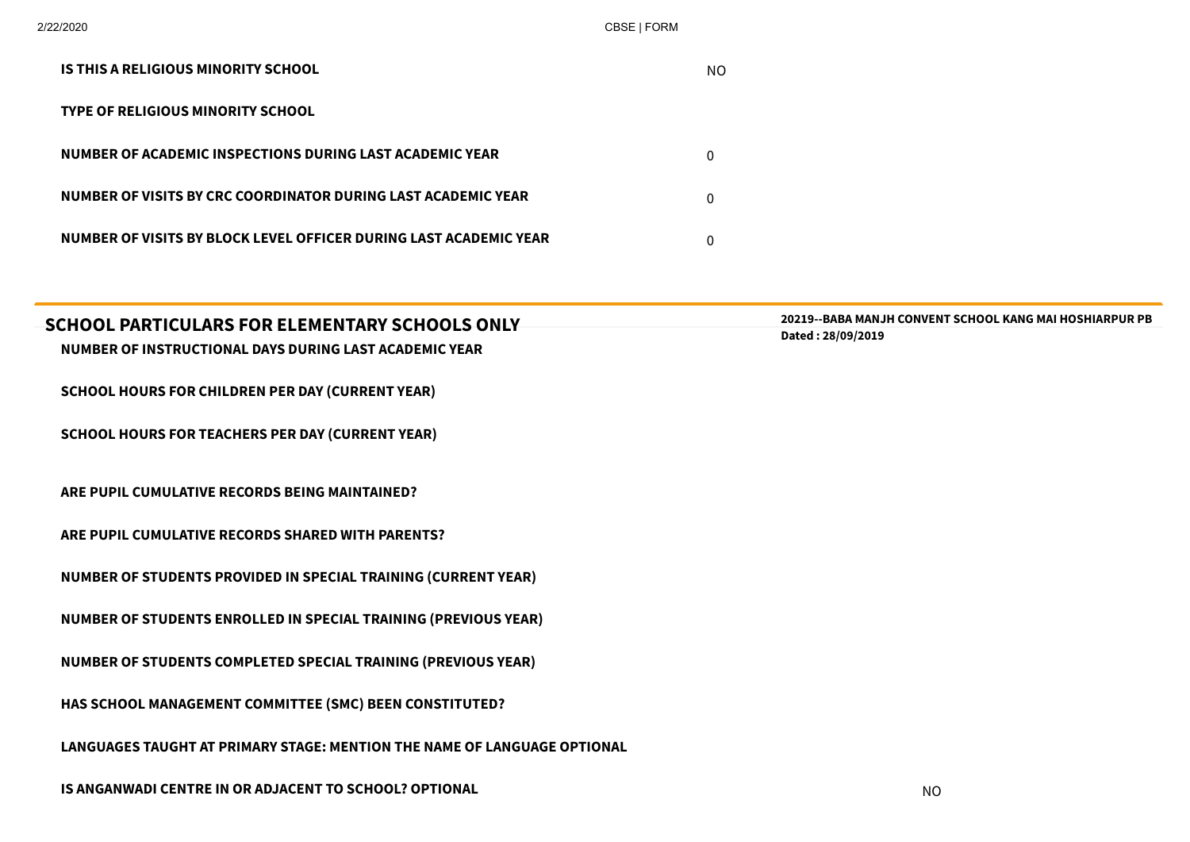| IS THIS A RELIGIOUS MINORITY SCHOOL                               | NO. |
|-------------------------------------------------------------------|-----|
| <b>TYPE OF RELIGIOUS MINORITY SCHOOL</b>                          |     |
| NUMBER OF ACADEMIC INSPECTIONS DURING LAST ACADEMIC YEAR          | 0   |
| NUMBER OF VISITS BY CRC COORDINATOR DURING LAST ACADEMIC YEAR     | 0   |
| NUMBER OF VISITS BY BLOCK LEVEL OFFICER DURING LAST ACADEMIC YEAR |     |

| SCHOOL PARTICULARS FOR ELEMENTARY SCHOOLS ONLY                           | <b>20219--BABA MANJH CONVENT SCHOOL KANG MAI HOSHIARPUR PB</b> |
|--------------------------------------------------------------------------|----------------------------------------------------------------|
| NUMBER OF INSTRUCTIONAL DAYS DURING LAST ACADEMIC YEAR                   | Dated: 28/09/2019                                              |
|                                                                          |                                                                |
| <b>SCHOOL HOURS FOR CHILDREN PER DAY (CURRENT YEAR)</b>                  |                                                                |
|                                                                          |                                                                |
| <b>SCHOOL HOURS FOR TEACHERS PER DAY (CURRENT YEAR)</b>                  |                                                                |
|                                                                          |                                                                |
|                                                                          |                                                                |
| ARE PUPIL CUMULATIVE RECORDS BEING MAINTAINED?                           |                                                                |
| ARE PUPIL CUMULATIVE RECORDS SHARED WITH PARENTS?                        |                                                                |
|                                                                          |                                                                |
| <b>NUMBER OF STUDENTS PROVIDED IN SPECIAL TRAINING (CURRENT YEAR)</b>    |                                                                |
|                                                                          |                                                                |
| <b>NUMBER OF STUDENTS ENROLLED IN SPECIAL TRAINING (PREVIOUS YEAR)</b>   |                                                                |
|                                                                          |                                                                |
| <b>NUMBER OF STUDENTS COMPLETED SPECIAL TRAINING (PREVIOUS YEAR)</b>     |                                                                |
|                                                                          |                                                                |
| HAS SCHOOL MANAGEMENT COMMITTEE (SMC) BEEN CONSTITUTED?                  |                                                                |
| LANGUAGES TAUGHT AT PRIMARY STAGE: MENTION THE NAME OF LANGUAGE OPTIONAL |                                                                |
|                                                                          |                                                                |
|                                                                          |                                                                |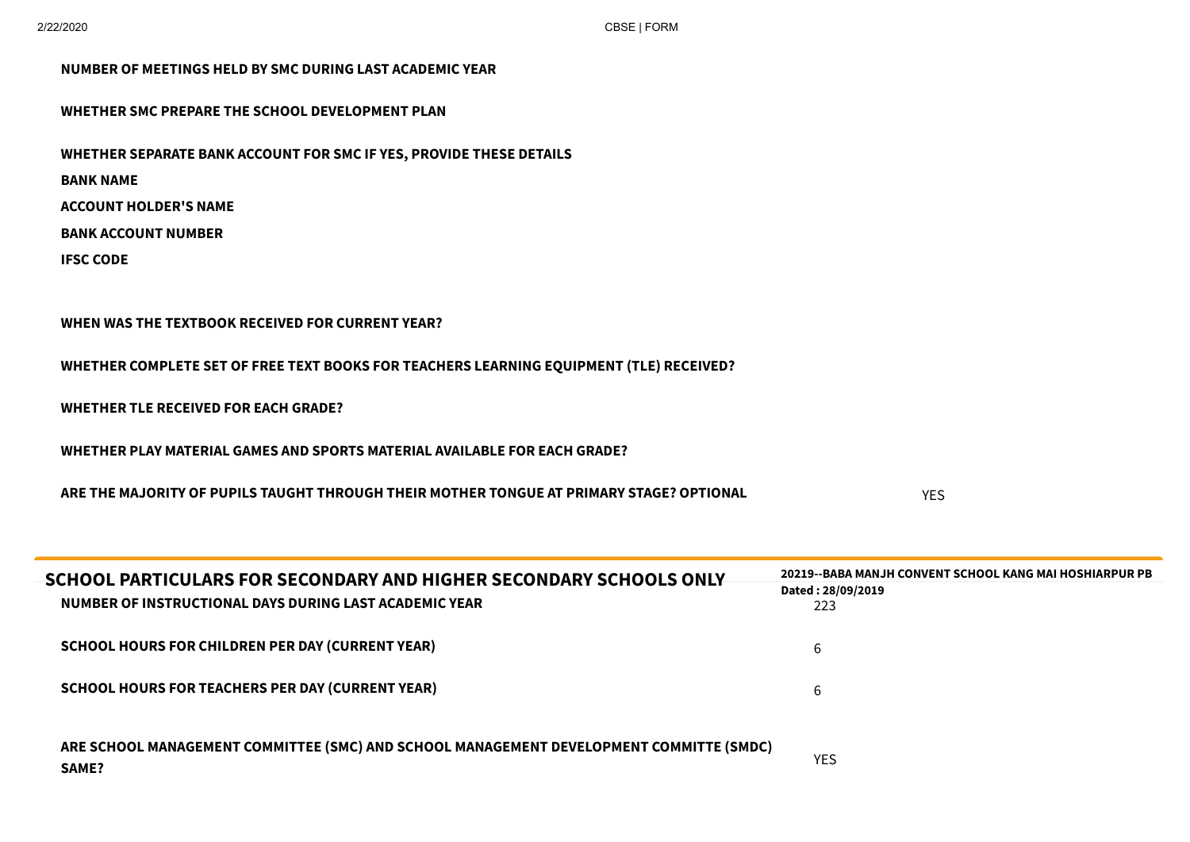| NUMBER OF MEETINGS HELD BY SMC DURING LAST ACADEMIC YEAR                                                                                                                  |            |
|---------------------------------------------------------------------------------------------------------------------------------------------------------------------------|------------|
| WHETHER SMC PREPARE THE SCHOOL DEVELOPMENT PLAN                                                                                                                           |            |
| WHETHER SEPARATE BANK ACCOUNT FOR SMC IF YES, PROVIDE THESE DETAILS<br><b>BANK NAME</b><br><b>ACCOUNT HOLDER'S NAME</b><br><b>BANK ACCOUNT NUMBER</b><br><b>IFSC CODE</b> |            |
| WHEN WAS THE TEXTBOOK RECEIVED FOR CURRENT YEAR?<br>WHETHER COMPLETE SET OF FREE TEXT BOOKS FOR TEACHERS LEARNING EQUIPMENT (TLE) RECEIVED?                               |            |
| <b>WHETHER TLE RECEIVED FOR EACH GRADE?</b><br>WHETHER PLAY MATERIAL GAMES AND SPORTS MATERIAL AVAILABLE FOR EACH GRADE?                                                  |            |
| ARE THE MAJORITY OF PUPILS TAUGHT THROUGH THEIR MOTHER TONGUE AT PRIMARY STAGE? OPTIONAL                                                                                  | <b>YES</b> |

| SCHOOL PARTICULARS FOR SECONDARY AND HIGHER SECONDARY SCHOOLS ONLY<br>NUMBER OF INSTRUCTIONAL DAYS DURING LAST ACADEMIC YEAR | <b>20219--BABA MANJH CONVENT SCHOOL KANG MAI HOSHIARPUR PB</b><br>Dated: 28/09/2019<br>223 |
|------------------------------------------------------------------------------------------------------------------------------|--------------------------------------------------------------------------------------------|
| <b>SCHOOL HOURS FOR CHILDREN PER DAY (CURRENT YEAR)</b>                                                                      | b                                                                                          |
| <b>SCHOOL HOURS FOR TEACHERS PER DAY (CURRENT YEAR)</b>                                                                      | 6                                                                                          |
| ARE SCHOOL MANAGEMENT COMMITTEE (SMC) AND SCHOOL MANAGEMENT DEVELOPMENT COMMITTE (SMDC)<br><b>SAME?</b>                      | <b>YES</b>                                                                                 |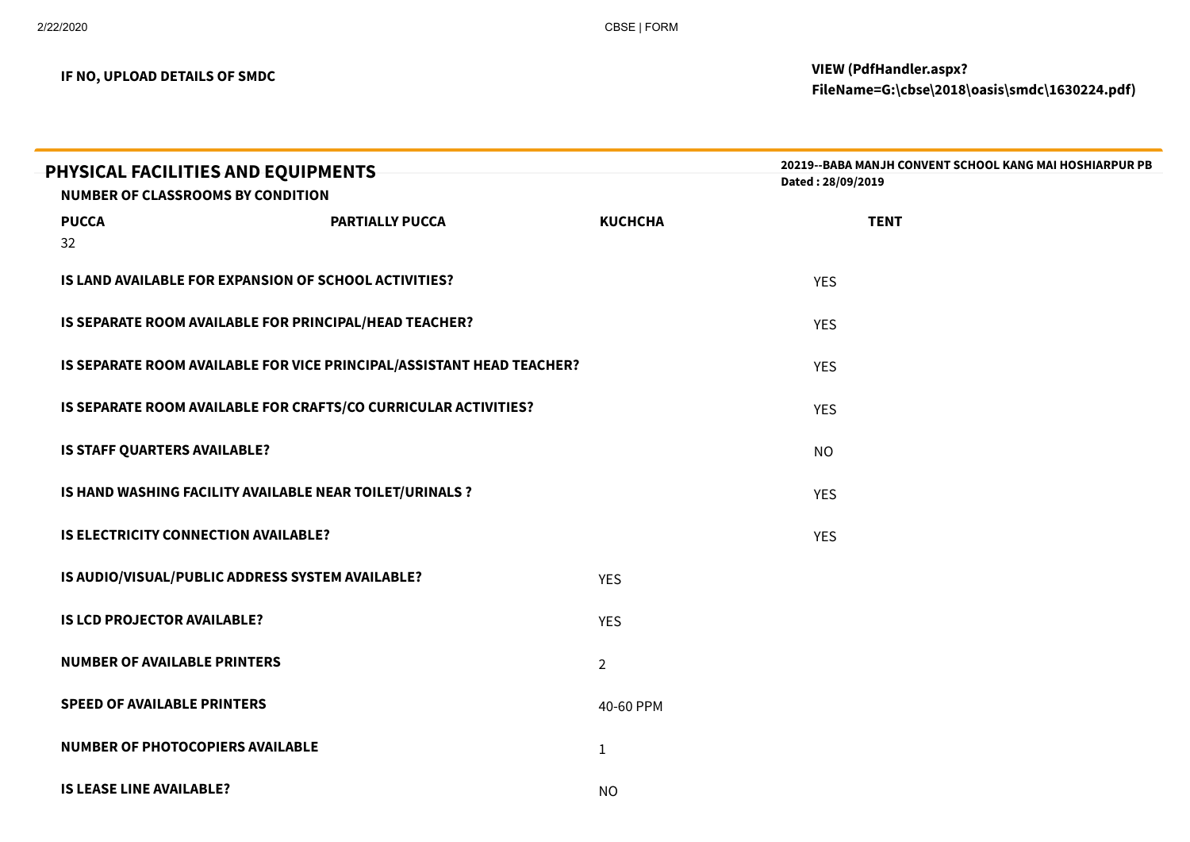| PHYSICAL FACILITIES AND EQUIPMENTS<br><b>NUMBER OF CLASSROOMS BY CONDITION</b> |                        |                | 20219--BABA MANJH CONVENT SCHOOL KANG MAI HOSHIARPUR PB<br>Dated: 28/09/2019 |  |
|--------------------------------------------------------------------------------|------------------------|----------------|------------------------------------------------------------------------------|--|
| <b>PUCCA</b>                                                                   | <b>PARTIALLY PUCCA</b> | <b>KUCHCHA</b> | <b>TENT</b>                                                                  |  |
| 32                                                                             |                        |                |                                                                              |  |
| IS LAND AVAILABLE FOR EXPANSION OF SCHOOL ACTIVITIES?                          |                        |                | <b>YES</b>                                                                   |  |
| IS SEPARATE ROOM AVAILABLE FOR PRINCIPAL/HEAD TEACHER?                         |                        |                | <b>YES</b>                                                                   |  |
| IS SEPARATE ROOM AVAILABLE FOR VICE PRINCIPAL/ASSISTANT HEAD TEACHER?          |                        |                | <b>YES</b>                                                                   |  |
| IS SEPARATE ROOM AVAILABLE FOR CRAFTS/CO CURRICULAR ACTIVITIES?                |                        |                | <b>YES</b>                                                                   |  |
| IS STAFF QUARTERS AVAILABLE?                                                   |                        |                | <b>NO</b>                                                                    |  |
| IS HAND WASHING FACILITY AVAILABLE NEAR TOILET/URINALS ?                       |                        |                | <b>YES</b>                                                                   |  |
| <b>IS ELECTRICITY CONNECTION AVAILABLE?</b>                                    |                        |                | <b>YES</b>                                                                   |  |
| IS AUDIO/VISUAL/PUBLIC ADDRESS SYSTEM AVAILABLE?                               |                        | <b>YES</b>     |                                                                              |  |
| <b>IS LCD PROJECTOR AVAILABLE?</b>                                             |                        | <b>YES</b>     |                                                                              |  |
| <b>NUMBER OF AVAILABLE PRINTERS</b>                                            |                        | $\overline{2}$ |                                                                              |  |
| <b>SPEED OF AVAILABLE PRINTERS</b>                                             |                        | 40-60 PPM      |                                                                              |  |
| NUMBER OF PHOTOCOPIERS AVAILABLE                                               |                        | $\mathbf{1}$   |                                                                              |  |
| <b>IS LEASE LINE AVAILABLE?</b>                                                |                        | <b>NO</b>      |                                                                              |  |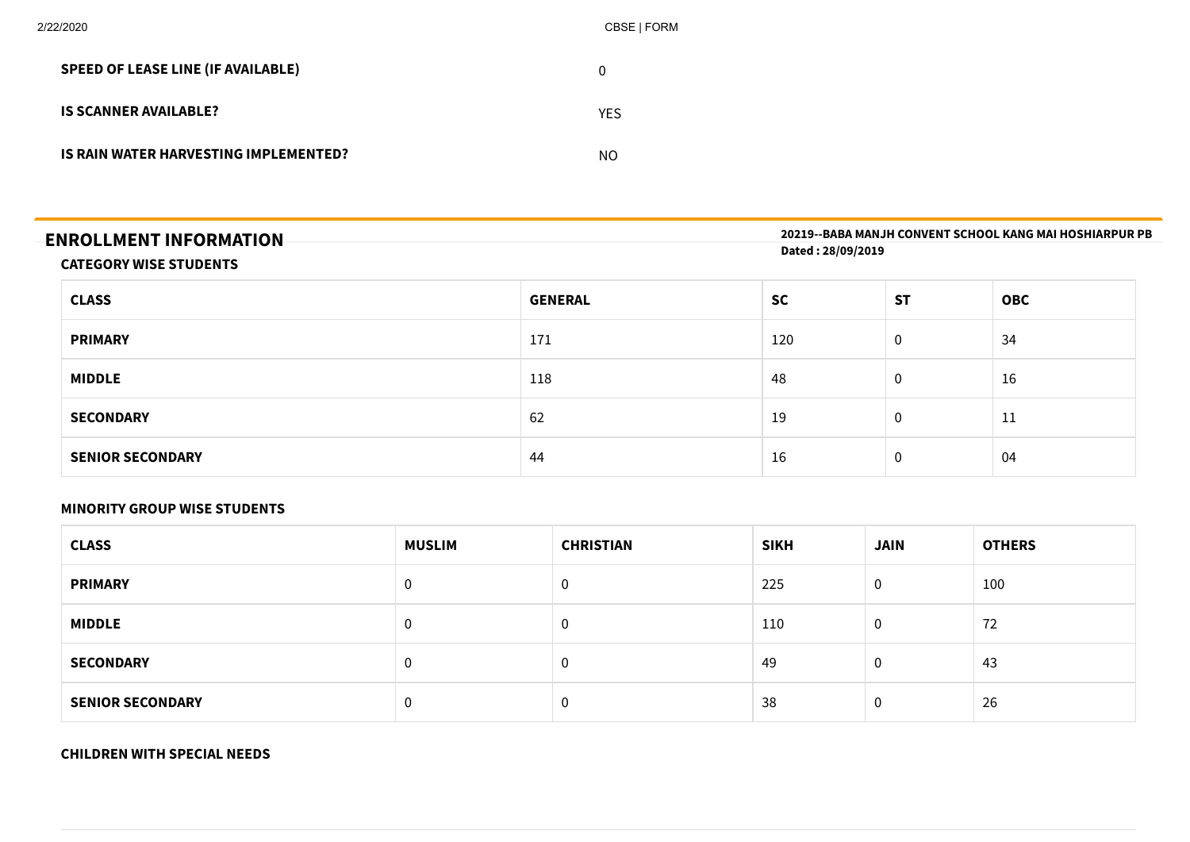| 2/22/2020                                 | CBSE   FORM    |
|-------------------------------------------|----------------|
| <b>SPEED OF LEASE LINE (IF AVAILABLE)</b> | $\overline{0}$ |
| <b>IS SCANNER AVAILABLE?</b>              | <b>YES</b>     |
| IS RAIN WATER HARVESTING IMPLEMENTED?     | <b>NO</b>      |
|                                           |                |

| <b>ENROLLMENT INFORMATION</b> | 20219--BABA MANJH CONVENT SCHOOL KANG MAI HOSHIARPUR PB |
|-------------------------------|---------------------------------------------------------|
|                               | Dated: 28/09/2019                                       |
| <b>CATEGORY WISE STUDENTS</b> |                                                         |

| <b>CLASS</b>            | <b>GENERAL</b> | <b>SC</b> | <b>ST</b>      | <b>OBC</b> |
|-------------------------|----------------|-----------|----------------|------------|
| <b>PRIMARY</b>          | 171            | 120       | $\overline{0}$ | 34         |
| <b>MIDDLE</b>           | 118            | 48        | $\mathbf 0$    | 16         |
| <b>SECONDARY</b>        | 62             | 19        | $\mathbf 0$    | 11         |
| <b>SENIOR SECONDARY</b> | 44             | 16        | $\mathbf 0$    | 04         |

#### **MINORITY GROUP WISE STUDENTS**

| <b>CLASS</b>            | <b>MUSLIM</b> | <b>CHRISTIAN</b> | <b>SIKH</b> | <b>JAIN</b> | <b>OTHERS</b> |
|-------------------------|---------------|------------------|-------------|-------------|---------------|
| <b>PRIMARY</b>          | 0             | U                | 225         | 0           | 100           |
| <b>MIDDLE</b>           | $\mathbf 0$   | 0                | 110         | 0           | 72            |
| <b>SECONDARY</b>        | $\mathbf 0$   | U                | 49          | 0           | 43            |
| <b>SENIOR SECONDARY</b> | $\mathbf 0$   | 0                | 38          | $\Omega$    | 26            |

#### **CHILDREN WITH SPECIAL NEEDS**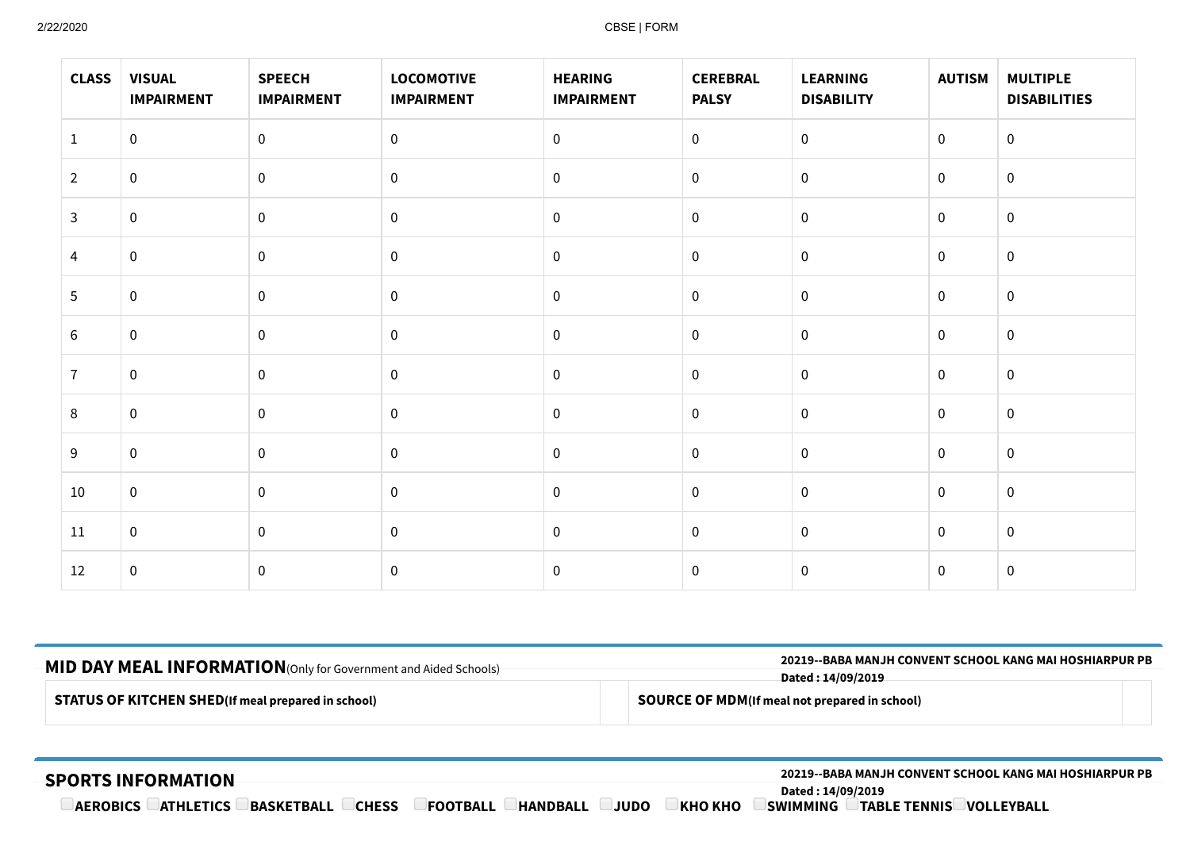| <b>CLASS</b>   | <b>VISUAL</b><br><b>IMPAIRMENT</b> | <b>SPEECH</b><br><b>IMPAIRMENT</b> | <b>LOCOMOTIVE</b><br><b>IMPAIRMENT</b> | <b>HEARING</b><br><b>IMPAIRMENT</b> | <b>CEREBRAL</b><br><b>PALSY</b> | <b>LEARNING</b><br><b>DISABILITY</b> | <b>AUTISM</b>    | <b>MULTIPLE</b><br><b>DISABILITIES</b> |
|----------------|------------------------------------|------------------------------------|----------------------------------------|-------------------------------------|---------------------------------|--------------------------------------|------------------|----------------------------------------|
| $\mathbf{1}$   | $\mathbf 0$                        | $\mathbf 0$                        | $\overline{0}$                         | $\mathbf 0$                         | $\mathbf 0$                     | $\overline{0}$                       | $\boldsymbol{0}$ | $\mathbf 0$                            |
| $\overline{2}$ | $\mathbf 0$                        | $\mathbf 0$                        | $\mathbf 0$                            | $\pmb{0}$                           | $\boldsymbol{0}$                | $\overline{0}$                       | $\mathbf 0$      | $\mathbf 0$                            |
| 3              | $\mathbf 0$                        | $\pmb{0}$                          | $\mathbf 0$                            | $\pmb{0}$                           | $\mathbf 0$                     | $\mathbf 0$                          | $\mathbf 0$      | $\mathbf 0$                            |
| 4              | $\pmb{0}$                          | $\pmb{0}$                          | $\boldsymbol{0}$                       | $\,0\,$                             | $\boldsymbol{0}$                | $\mathbf 0$                          | $\pmb{0}$        | $\mathbf 0$                            |
| 5              | $\mathbf 0$                        | $\mathbf 0$                        | $\mathbf 0$                            | $\pmb{0}$                           | $\mathbf 0$                     | $\overline{0}$                       | $\mathbf 0$      | $\mathbf 0$                            |
| 6              | $\mathbf 0$                        | $\mathbf 0$                        | $\mathbf 0$                            | $\mathbf 0$                         | $\mathbf 0$                     | $\mathbf 0$                          | $\mathbf 0$      | $\overline{0}$                         |
| $\overline{7}$ | $\mathbf 0$                        | $\pmb{0}$                          | $\mathbf 0$                            | $\mathbf 0$                         | $\boldsymbol{0}$                | $\mathbf 0$                          | $\mathbf 0$      | $\mathbf 0$                            |
| 8              | $\mathbf 0$                        | $\pmb{0}$                          | $\mathbf 0$                            | $\mathbf 0$                         | $\boldsymbol{0}$                | $\mathbf 0$                          | $\mathbf 0$      | $\overline{0}$                         |
| 9              | $\mathbf 0$                        | $\mathbf 0$                        | $\mathbf 0$                            | $\pmb{0}$                           | $\boldsymbol{0}$                | $\mathbf 0$                          | $\mathbf 0$      | $\overline{0}$                         |
| 10             | $\mathbf 0$                        | $\mathbf 0$                        | $\mathbf 0$                            | $\mathbf 0$                         | $\mathbf 0$                     | $\overline{0}$                       | $\mathbf 0$      | $\overline{0}$                         |
| 11             | $\mathbf 0$                        | $\mathbf 0$                        | $\mathbf 0$                            | $\mathbf 0$                         | $\mathbf 0$                     | $\overline{0}$                       | $\mathbf 0$      | $\mathbf 0$                            |
| 12             | $\mathbf 0$                        | $\pmb{0}$                          | $\pmb{0}$                              | $\pmb{0}$                           | $\pmb{0}$                       | $\mathbf 0$                          | $\mathbf 0$      | $\overline{0}$                         |

| -MID DAY MEAL INFORMATION (Only for Government and Aided Schools)-<br><b>STATUS OF KITCHEN SHED</b> (If meal prepared in school) |  | <b>20219--BABA MANJH CONVENT SCHOOL KANG MAI HOSHIARPUR PB</b><br>Dated : 14/09/2019 |  |  |  |  |
|----------------------------------------------------------------------------------------------------------------------------------|--|--------------------------------------------------------------------------------------|--|--|--|--|
|                                                                                                                                  |  |                                                                                      |  |  |  |  |
|                                                                                                                                  |  |                                                                                      |  |  |  |  |

#### **SPORTS INFORMATION 20219--BABA MANJH CONVENT SCHOOL KANG MAI HOSHIARPUR PB Dated : 14/09/2019 AEROBICS ATHLETICS BASKETBALL CHESS CFOOTBALL CHANDBALL CJUDO**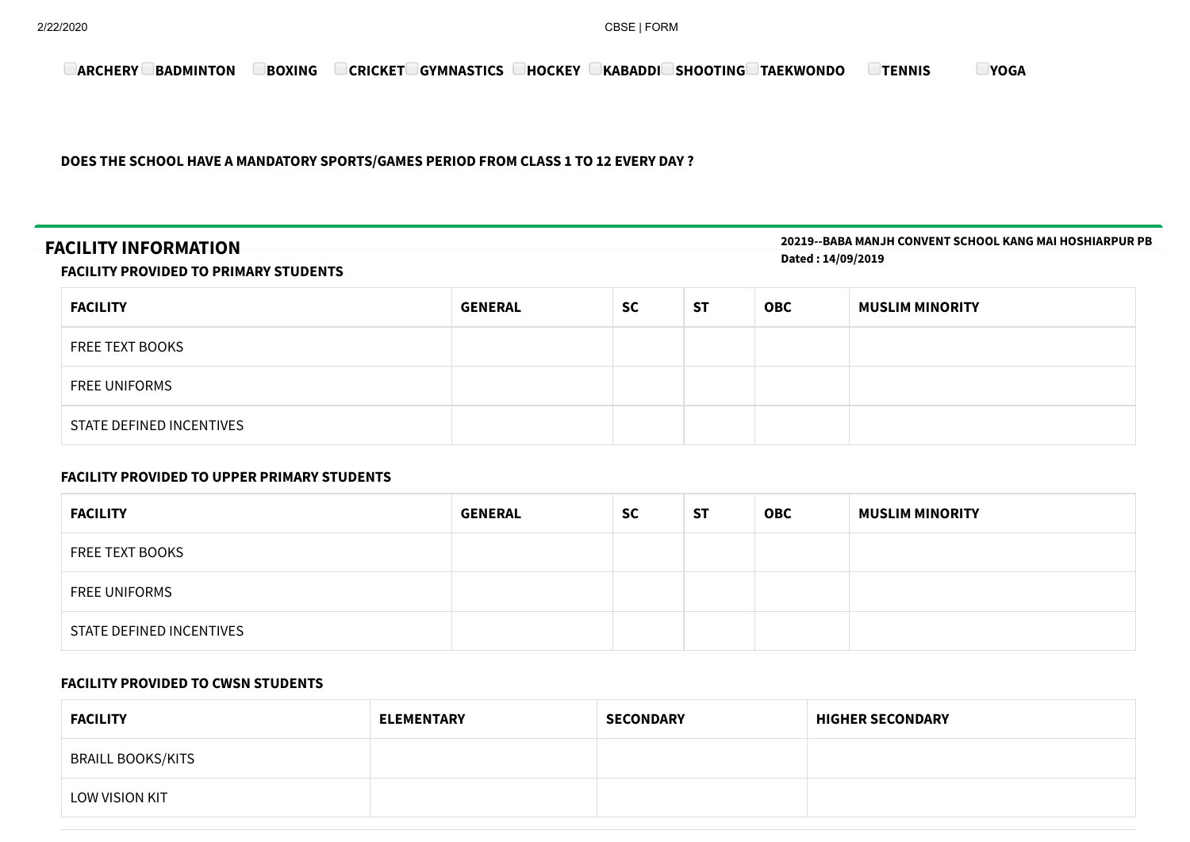**ARCHERY BADMINTON BOXING CRICKET GYMNASTICS HOCKEY KABADDI SHOOTING TAEKWONDO TENNIS YOGA**

**DOES THE SCHOOL HAVE A MANDATORY SPORTS/GAMES PERIOD FROM CLASS 1 TO 12 EVERY DAY ?**

# **FACILITY INFORMATION**

**20219--BABA MANJH CONVENT SCHOOL KANG MAI HOSHIARPUR PB Dated : 14/09/2019**

#### **FACILITY PROVIDED TO PRIMARY STUDENTS**

| <b>FACILITY</b>          | <b>GENERAL</b> | <b>SC</b> | <b>ST</b> | <b>OBC</b> | <b>MUSLIM MINORITY</b> |
|--------------------------|----------------|-----------|-----------|------------|------------------------|
| FREE TEXT BOOKS          |                |           |           |            |                        |
| <b>FREE UNIFORMS</b>     |                |           |           |            |                        |
| STATE DEFINED INCENTIVES |                |           |           |            |                        |

#### **FACILITY PROVIDED TO UPPER PRIMARY STUDENTS**

| <b>FACILITY</b>          | <b>GENERAL</b> | <b>SC</b> | <b>ST</b> | <b>OBC</b> | <b>MUSLIM MINORITY</b> |
|--------------------------|----------------|-----------|-----------|------------|------------------------|
| <b>FREE TEXT BOOKS</b>   |                |           |           |            |                        |
| <b>FREE UNIFORMS</b>     |                |           |           |            |                        |
| STATE DEFINED INCENTIVES |                |           |           |            |                        |

#### **FACILITY PROVIDED TO CWSN STUDENTS**

| <b>FACILITY</b>   | <b>ELEMENTARY</b> | <b>SECONDARY</b> | <b>HIGHER SECONDARY</b> |
|-------------------|-------------------|------------------|-------------------------|
| BRAILL BOOKS/KITS |                   |                  |                         |
| LOW VISION KIT    |                   |                  |                         |